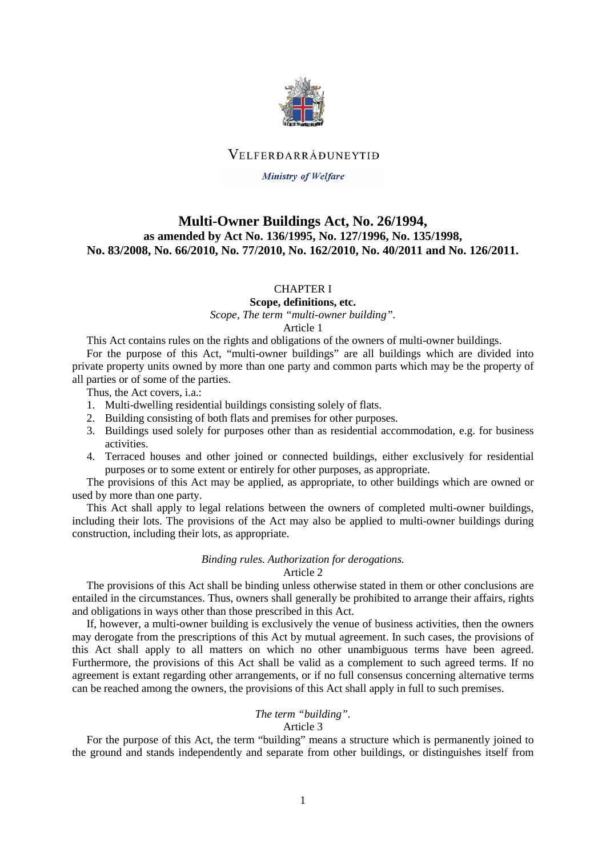

## VELFERDARRÁÐUNEYTIÐ

**Ministry of Welfare** 

# **Multi-Owner Buildings Act, No. 26/1994, as amended by Act No. 136/1995, No. 127/1996, No. 135/1998, No. 83/2008, No. 66/2010, No. 77/2010, No. 162/2010, No. 40/2011 and No. 126/2011.**

# CHAPTER I

**Scope, definitions, etc.** *Scope, The term "multi-owner building".*

Article 1

This Act contains rules on the rights and obligations of the owners of multi-owner buildings.

For the purpose of this Act, "multi-owner buildings" are all buildings which are divided into private property units owned by more than one party and common parts which may be the property of all parties or of some of the parties.

Thus, the Act covers, i.a.:

- 1. Multi-dwelling residential buildings consisting solely of flats.
- 2. Building consisting of both flats and premises for other purposes.
- 3. Buildings used solely for purposes other than as residential accommodation, e.g. for business activities.
- 4. Terraced houses and other joined or connected buildings, either exclusively for residential purposes or to some extent or entirely for other purposes, as appropriate.

The provisions of this Act may be applied, as appropriate, to other buildings which are owned or used by more than one party.

This Act shall apply to legal relations between the owners of completed multi-owner buildings, including their lots. The provisions of the Act may also be applied to multi-owner buildings during construction, including their lots, as appropriate.

## *Binding rules. Authorization for derogations.*

Article 2

The provisions of this Act shall be binding unless otherwise stated in them or other conclusions are entailed in the circumstances. Thus, owners shall generally be prohibited to arrange their affairs, rights and obligations in ways other than those prescribed in this Act.

If, however, a multi-owner building is exclusively the venue of business activities, then the owners may derogate from the prescriptions of this Act by mutual agreement. In such cases, the provisions of this Act shall apply to all matters on which no other unambiguous terms have been agreed. Furthermore, the provisions of this Act shall be valid as a complement to such agreed terms. If no agreement is extant regarding other arrangements, or if no full consensus concerning alternative terms can be reached among the owners, the provisions of this Act shall apply in full to such premises.

## *The term "building".*

## Article 3

For the purpose of this Act, the term "building" means a structure which is permanently joined to the ground and stands independently and separate from other buildings, or distinguishes itself from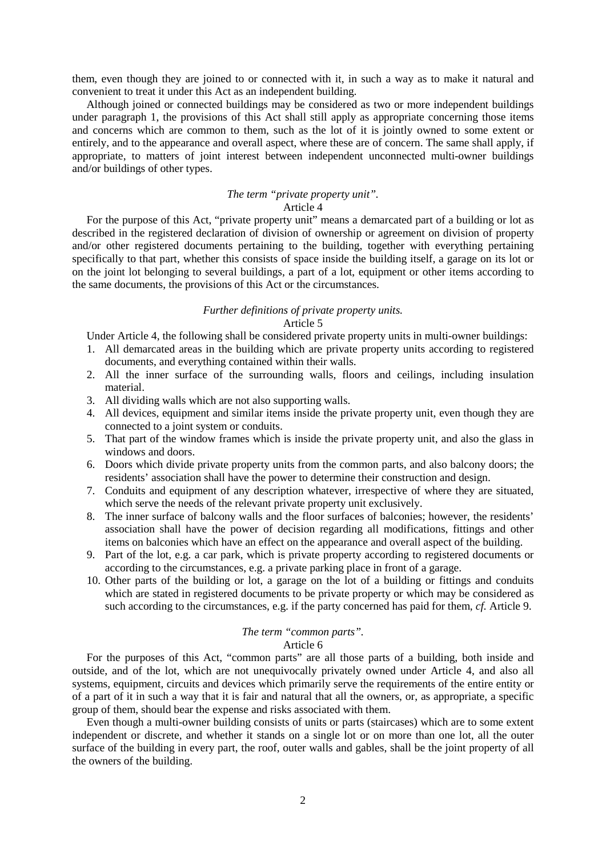them, even though they are joined to or connected with it, in such a way as to make it natural and convenient to treat it under this Act as an independent building.

Although joined or connected buildings may be considered as two or more independent buildings under paragraph 1, the provisions of this Act shall still apply as appropriate concerning those items and concerns which are common to them, such as the lot of it is jointly owned to some extent or entirely, and to the appearance and overall aspect, where these are of concern. The same shall apply, if appropriate, to matters of joint interest between independent unconnected multi-owner buildings and/or buildings of other types.

# *The term "private property unit".*

## Article 4

For the purpose of this Act, "private property unit" means a demarcated part of a building or lot as described in the registered declaration of division of ownership or agreement on division of property and/or other registered documents pertaining to the building, together with everything pertaining specifically to that part, whether this consists of space inside the building itself, a garage on its lot or on the joint lot belonging to several buildings, a part of a lot, equipment or other items according to the same documents, the provisions of this Act or the circumstances.

#### *Further definitions of private property units.* Article 5

Under Article 4, the following shall be considered private property units in multi-owner buildings:

- 1. All demarcated areas in the building which are private property units according to registered documents, and everything contained within their walls.
- 2. All the inner surface of the surrounding walls, floors and ceilings, including insulation material.
- 3. All dividing walls which are not also supporting walls.
- 4. All devices, equipment and similar items inside the private property unit, even though they are connected to a joint system or conduits.
- 5. That part of the window frames which is inside the private property unit, and also the glass in windows and doors.
- 6. Doors which divide private property units from the common parts, and also balcony doors; the residents' association shall have the power to determine their construction and design.
- 7. Conduits and equipment of any description whatever, irrespective of where they are situated, which serve the needs of the relevant private property unit exclusively.
- 8. The inner surface of balcony walls and the floor surfaces of balconies; however, the residents' association shall have the power of decision regarding all modifications, fittings and other items on balconies which have an effect on the appearance and overall aspect of the building.
- 9. Part of the lot, e.g. a car park, which is private property according to registered documents or according to the circumstances, e.g. a private parking place in front of a garage.
- 10. Other parts of the building or lot, a garage on the lot of a building or fittings and conduits which are stated in registered documents to be private property or which may be considered as such according to the circumstances, e.g. if the party concerned has paid for them, *cf.* Article 9.

## *The term "common parts".*

## Article 6

For the purposes of this Act, "common parts" are all those parts of a building, both inside and outside, and of the lot, which are not unequivocally privately owned under Article 4, and also all systems, equipment, circuits and devices which primarily serve the requirements of the entire entity or of a part of it in such a way that it is fair and natural that all the owners, or, as appropriate, a specific group of them, should bear the expense and risks associated with them.

Even though a multi-owner building consists of units or parts (staircases) which are to some extent independent or discrete, and whether it stands on a single lot or on more than one lot, all the outer surface of the building in every part, the roof, outer walls and gables, shall be the joint property of all the owners of the building.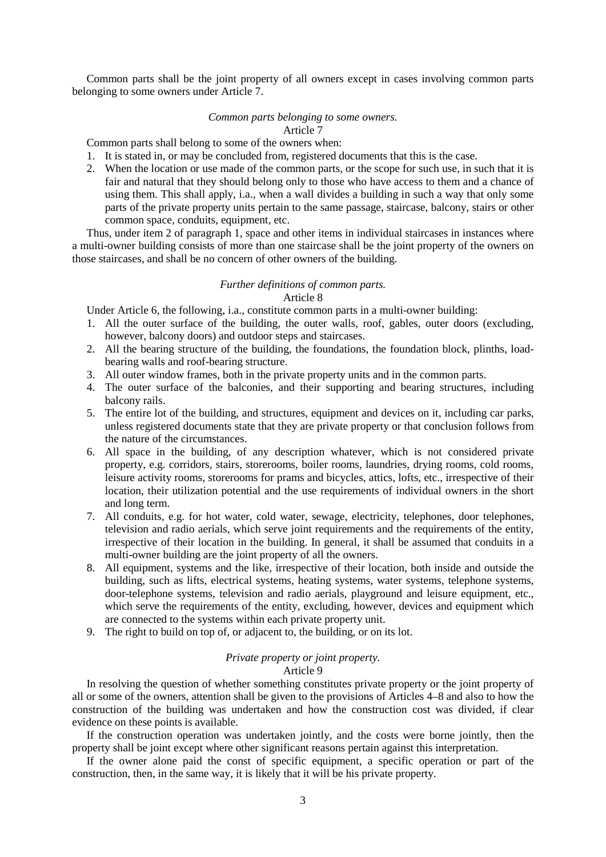Common parts shall be the joint property of all owners except in cases involving common parts belonging to some owners under Article 7.

## *Common parts belonging to some owners.*

## Article 7

Common parts shall belong to some of the owners when:

- 1. It is stated in, or may be concluded from, registered documents that this is the case.
- 2. When the location or use made of the common parts, or the scope for such use, in such that it is fair and natural that they should belong only to those who have access to them and a chance of using them. This shall apply, i.a., when a wall divides a building in such a way that only some parts of the private property units pertain to the same passage, staircase, balcony, stairs or other common space, conduits, equipment, etc.

Thus, under item 2 of paragraph 1, space and other items in individual staircases in instances where a multi-owner building consists of more than one staircase shall be the joint property of the owners on those staircases, and shall be no concern of other owners of the building.

## *Further definitions of common parts.*

## Article 8

Under Article 6, the following, i.a., constitute common parts in a multi-owner building:

- 1. All the outer surface of the building, the outer walls, roof, gables, outer doors (excluding, however, balcony doors) and outdoor steps and staircases.
- 2. All the bearing structure of the building, the foundations, the foundation block, plinths, loadbearing walls and roof-bearing structure.
- 3. All outer window frames, both in the private property units and in the common parts.
- 4. The outer surface of the balconies, and their supporting and bearing structures, including balcony rails.
- 5. The entire lot of the building, and structures, equipment and devices on it, including car parks, unless registered documents state that they are private property or that conclusion follows from the nature of the circumstances.
- 6. All space in the building, of any description whatever, which is not considered private property, e.g. corridors, stairs, storerooms, boiler rooms, laundries, drying rooms, cold rooms, leisure activity rooms, storerooms for prams and bicycles, attics, lofts, etc., irrespective of their location, their utilization potential and the use requirements of individual owners in the short and long term.
- 7. All conduits, e.g. for hot water, cold water, sewage, electricity, telephones, door telephones, television and radio aerials, which serve joint requirements and the requirements of the entity, irrespective of their location in the building. In general, it shall be assumed that conduits in a multi-owner building are the joint property of all the owners.
- 8. All equipment, systems and the like, irrespective of their location, both inside and outside the building, such as lifts, electrical systems, heating systems, water systems, telephone systems, door-telephone systems, television and radio aerials, playground and leisure equipment, etc., which serve the requirements of the entity, excluding, however, devices and equipment which are connected to the systems within each private property unit.
- 9. The right to build on top of, or adjacent to, the building, or on its lot.

## *Private property or joint property.*

#### Article 9

In resolving the question of whether something constitutes private property or the joint property of all or some of the owners, attention shall be given to the provisions of Articles 4–8 and also to how the construction of the building was undertaken and how the construction cost was divided, if clear evidence on these points is available.

If the construction operation was undertaken jointly, and the costs were borne jointly, then the property shall be joint except where other significant reasons pertain against this interpretation.

If the owner alone paid the const of specific equipment, a specific operation or part of the construction, then, in the same way, it is likely that it will be his private property.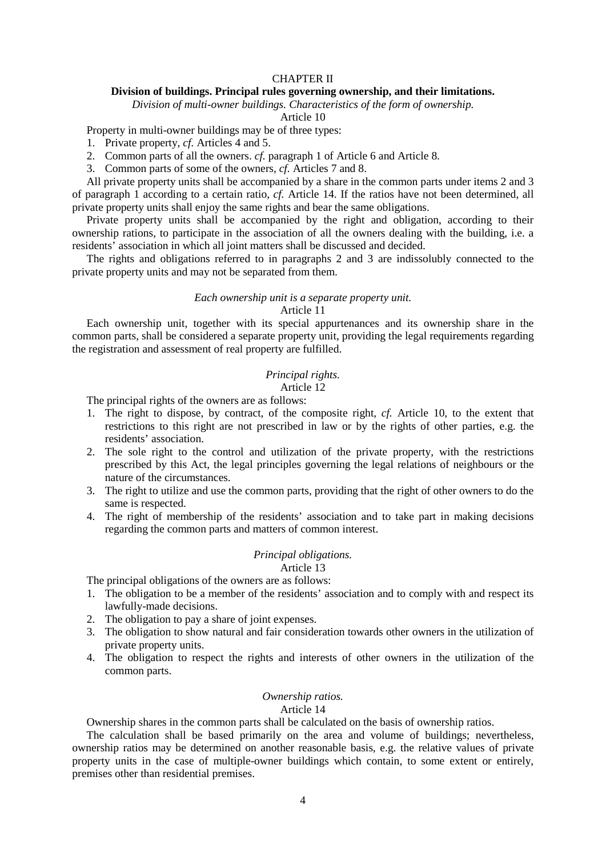## CHAPTER II

## **Division of buildings. Principal rules governing ownership, and their limitations.**

*Division of multi-owner buildings. Characteristics of the form of ownership.*

Article 10

Property in multi-owner buildings may be of three types:

- 1. Private property, *cf.* Articles 4 and 5.
- 2. Common parts of all the owners. *cf.* paragraph 1 of Article 6 and Article 8.
- 3. Common parts of some of the owners, *cf.* Articles 7 and 8.

All private property units shall be accompanied by a share in the common parts under items 2 and 3 of paragraph 1 according to a certain ratio, *cf.* Article 14. If the ratios have not been determined, all private property units shall enjoy the same rights and bear the same obligations.

Private property units shall be accompanied by the right and obligation, according to their ownership rations, to participate in the association of all the owners dealing with the building, i.e. a residents' association in which all joint matters shall be discussed and decided.

The rights and obligations referred to in paragraphs 2 and 3 are indissolubly connected to the private property units and may not be separated from them.

## *Each ownership unit is a separate property unit.*

## Article 11

Each ownership unit, together with its special appurtenances and its ownership share in the common parts, shall be considered a separate property unit, providing the legal requirements regarding the registration and assessment of real property are fulfilled.

## *Principal rights.*

## Article 12

The principal rights of the owners are as follows:

- 1. The right to dispose, by contract, of the composite right, *cf.* Article 10, to the extent that restrictions to this right are not prescribed in law or by the rights of other parties, e.g. the residents' association.
- 2. The sole right to the control and utilization of the private property, with the restrictions prescribed by this Act, the legal principles governing the legal relations of neighbours or the nature of the circumstances.
- 3. The right to utilize and use the common parts, providing that the right of other owners to do the same is respected.
- 4. The right of membership of the residents' association and to take part in making decisions regarding the common parts and matters of common interest.

## *Principal obligations.*

#### Article 13

The principal obligations of the owners are as follows:

- 1. The obligation to be a member of the residents' association and to comply with and respect its lawfully-made decisions.
- 2. The obligation to pay a share of joint expenses.
- 3. The obligation to show natural and fair consideration towards other owners in the utilization of private property units.
- 4. The obligation to respect the rights and interests of other owners in the utilization of the common parts.

## *Ownership ratios.*

#### Article 14

Ownership shares in the common parts shall be calculated on the basis of ownership ratios.

The calculation shall be based primarily on the area and volume of buildings; nevertheless, ownership ratios may be determined on another reasonable basis, e.g. the relative values of private property units in the case of multiple-owner buildings which contain, to some extent or entirely, premises other than residential premises.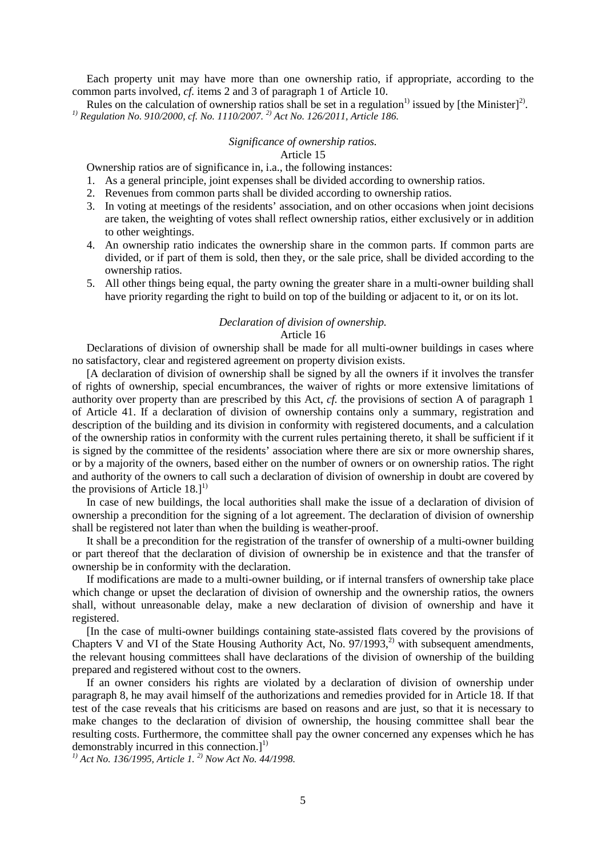Each property unit may have more than one ownership ratio, if appropriate, according to the common parts involved, *cf.* items 2 and 3 of paragraph 1 of Article 10.

Rules on the calculation of ownership ratios shall be set in a regulation<sup>1)</sup> issued by [the Minister]<sup>2)</sup>.<br>*<sup>1)</sup> Regulation No. 910/2000, cf. No. 1110/2007.* <sup>2)</sup> *Act No. 126/2011, Article 186.* 

## *Significance of ownership ratios.*

## Article 15

Ownership ratios are of significance in, i.a., the following instances:

- 1. As a general principle, joint expenses shall be divided according to ownership ratios.
- 2. Revenues from common parts shall be divided according to ownership ratios.
- 3. In voting at meetings of the residents' association, and on other occasions when joint decisions are taken, the weighting of votes shall reflect ownership ratios, either exclusively or in addition to other weightings.
- 4. An ownership ratio indicates the ownership share in the common parts. If common parts are divided, or if part of them is sold, then they, or the sale price, shall be divided according to the ownership ratios.
- 5. All other things being equal, the party owning the greater share in a multi-owner building shall have priority regarding the right to build on top of the building or adjacent to it, or on its lot.

## *Declaration of division of ownership.*

## Article 16

Declarations of division of ownership shall be made for all multi-owner buildings in cases where no satisfactory, clear and registered agreement on property division exists.

[A declaration of division of ownership shall be signed by all the owners if it involves the transfer of rights of ownership, special encumbrances, the waiver of rights or more extensive limitations of authority over property than are prescribed by this Act, *cf.* the provisions of section A of paragraph 1 of Article 41. If a declaration of division of ownership contains only a summary, registration and description of the building and its division in conformity with registered documents, and a calculation of the ownership ratios in conformity with the current rules pertaining thereto, it shall be sufficient if it is signed by the committee of the residents' association where there are six or more ownership shares, or by a majority of the owners, based either on the number of owners or on ownership ratios. The right and authority of the owners to call such a declaration of division of ownership in doubt are covered by the provisions of Article  $18.1^{11}$ 

In case of new buildings, the local authorities shall make the issue of a declaration of division of ownership a precondition for the signing of a lot agreement. The declaration of division of ownership shall be registered not later than when the building is weather-proof.

It shall be a precondition for the registration of the transfer of ownership of a multi-owner building or part thereof that the declaration of division of ownership be in existence and that the transfer of ownership be in conformity with the declaration.

If modifications are made to a multi-owner building, or if internal transfers of ownership take place which change or upset the declaration of division of ownership and the ownership ratios, the owners shall, without unreasonable delay, make a new declaration of division of ownership and have it registered.

[In the case of multi-owner buildings containing state-assisted flats covered by the provisions of Chapters V and VI of the State Housing Authority Act, No.  $97/1993$ <sup>2</sup> with subsequent amendments, the relevant housing committees shall have declarations of the division of ownership of the building prepared and registered without cost to the owners.

If an owner considers his rights are violated by a declaration of division of ownership under paragraph 8, he may avail himself of the authorizations and remedies provided for in Article 18. If that test of the case reveals that his criticisms are based on reasons and are just, so that it is necessary to make changes to the declaration of division of ownership, the housing committee shall bear the resulting costs. Furthermore, the committee shall pay the owner concerned any expenses which he has demonstrably incurred in this connection. $]^{1}$ 

*1) Act No. 136/1995, Article 1. 2) Now Act No. 44/1998.*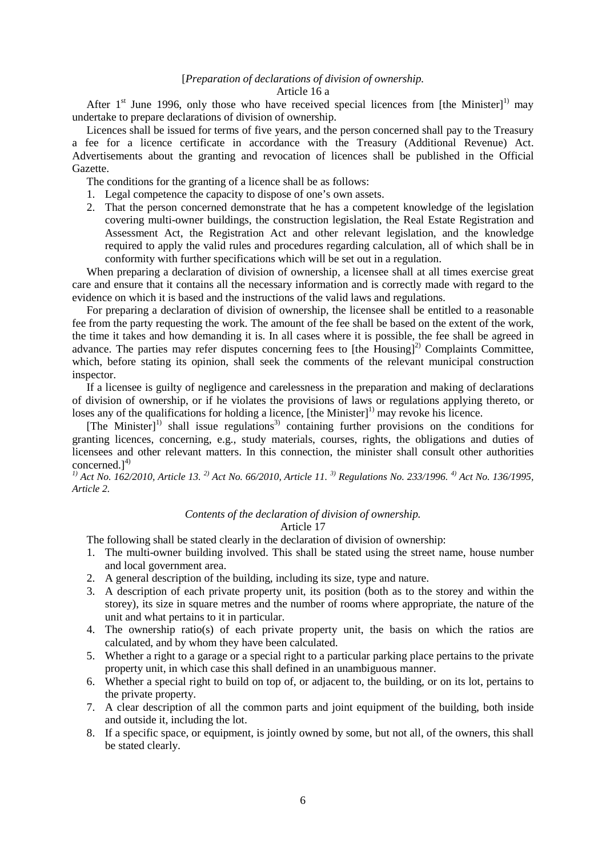## [*Preparation of declarations of division of ownership.*

## Article 16 a

After  $1<sup>st</sup>$  June 1996, only those who have received special licences from [the Minister]<sup>1)</sup> may undertake to prepare declarations of division of ownership.

Licences shall be issued for terms of five years, and the person concerned shall pay to the Treasury a fee for a licence certificate in accordance with the Treasury (Additional Revenue) Act. Advertisements about the granting and revocation of licences shall be published in the Official Gazette.

The conditions for the granting of a licence shall be as follows:

- 1. Legal competence the capacity to dispose of one's own assets.
- 2. That the person concerned demonstrate that he has a competent knowledge of the legislation covering multi-owner buildings, the construction legislation, the Real Estate Registration and Assessment Act, the Registration Act and other relevant legislation, and the knowledge required to apply the valid rules and procedures regarding calculation, all of which shall be in conformity with further specifications which will be set out in a regulation.

When preparing a declaration of division of ownership, a licensee shall at all times exercise great care and ensure that it contains all the necessary information and is correctly made with regard to the evidence on which it is based and the instructions of the valid laws and regulations.

For preparing a declaration of division of ownership, the licensee shall be entitled to a reasonable fee from the party requesting the work. The amount of the fee shall be based on the extent of the work, the time it takes and how demanding it is. In all cases where it is possible, the fee shall be agreed in advance. The parties may refer disputes concerning fees to [the Housing]<sup>2)</sup> Complaints Committee, which, before stating its opinion, shall seek the comments of the relevant municipal construction inspector.

If a licensee is guilty of negligence and carelessness in the preparation and making of declarations of division of ownership, or if he violates the provisions of laws or regulations applying thereto, or loses any of the qualifications for holding a licence,  $[the$  Minister $]$ <sup>1)</sup> may revoke his licence.

 $[The$  Minister<sup>11</sup> shall issue regulations<sup>3</sup> containing further provisions on the conditions for granting licences, concerning, e.g., study materials, courses, rights, the obligations and duties of licensees and other relevant matters. In this connection, the minister shall consult other authorities concerned. $l^{4)}$ 

*1) Act No. 162/2010, Article 13. 2) Act No. 66/2010, Article 11. 3) Regulations No. 233/1996. 4) Act No. 136/1995, Article 2.*

## *Contents of the declaration of division of ownership.*

#### Article 17

The following shall be stated clearly in the declaration of division of ownership:

- 1. The multi-owner building involved. This shall be stated using the street name, house number and local government area.
- 2. A general description of the building, including its size, type and nature.
- 3. A description of each private property unit, its position (both as to the storey and within the storey), its size in square metres and the number of rooms where appropriate, the nature of the unit and what pertains to it in particular.
- 4. The ownership ratio(s) of each private property unit, the basis on which the ratios are calculated, and by whom they have been calculated.
- 5. Whether a right to a garage or a special right to a particular parking place pertains to the private property unit, in which case this shall defined in an unambiguous manner.
- 6. Whether a special right to build on top of, or adjacent to, the building, or on its lot, pertains to the private property.
- 7. A clear description of all the common parts and joint equipment of the building, both inside and outside it, including the lot.
- 8. If a specific space, or equipment, is jointly owned by some, but not all, of the owners, this shall be stated clearly.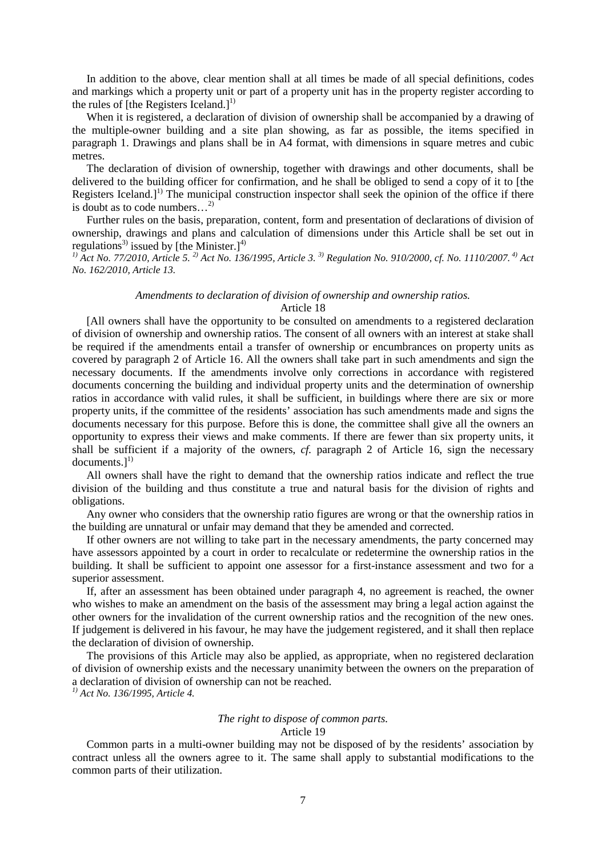In addition to the above, clear mention shall at all times be made of all special definitions, codes and markings which a property unit or part of a property unit has in the property register according to the rules of [the Registers Iceland.]<sup>1)</sup>

When it is registered, a declaration of division of ownership shall be accompanied by a drawing of the multiple-owner building and a site plan showing, as far as possible, the items specified in paragraph 1. Drawings and plans shall be in A4 format, with dimensions in square metres and cubic metres.

The declaration of division of ownership, together with drawings and other documents, shall be delivered to the building officer for confirmation, and he shall be obliged to send a copy of it to [the Registers Iceland.]<sup>1)</sup> The municipal construction inspector shall seek the opinion of the office if there is doubt as to code numbers…2)

Further rules on the basis, preparation, content, form and presentation of declarations of division of ownership, drawings and plans and calculation of dimensions under this Article shall be set out in regulations<sup>3)</sup> issued by [the Minister.]<sup>4)</sup>

*1) Act No. 77/2010, Article 5. 2) Act No. 136/1995, Article 3. 3) Regulation No. 910/2000, cf. No. 1110/2007. 4) Act No. 162/2010, Article 13.*

## *Amendments to declaration of division of ownership and ownership ratios.* Article 18

[All owners shall have the opportunity to be consulted on amendments to a registered declaration of division of ownership and ownership ratios. The consent of all owners with an interest at stake shall be required if the amendments entail a transfer of ownership or encumbrances on property units as covered by paragraph 2 of Article 16. All the owners shall take part in such amendments and sign the necessary documents. If the amendments involve only corrections in accordance with registered documents concerning the building and individual property units and the determination of ownership ratios in accordance with valid rules, it shall be sufficient, in buildings where there are six or more property units, if the committee of the residents' association has such amendments made and signs the documents necessary for this purpose. Before this is done, the committee shall give all the owners an opportunity to express their views and make comments. If there are fewer than six property units, it shall be sufficient if a majority of the owners, *cf.* paragraph 2 of Article 16, sign the necessary  $documents.$ ]<sup>1)</sup>

All owners shall have the right to demand that the ownership ratios indicate and reflect the true division of the building and thus constitute a true and natural basis for the division of rights and obligations.

Any owner who considers that the ownership ratio figures are wrong or that the ownership ratios in the building are unnatural or unfair may demand that they be amended and corrected.

If other owners are not willing to take part in the necessary amendments, the party concerned may have assessors appointed by a court in order to recalculate or redetermine the ownership ratios in the building. It shall be sufficient to appoint one assessor for a first-instance assessment and two for a superior assessment.

If, after an assessment has been obtained under paragraph 4, no agreement is reached, the owner who wishes to make an amendment on the basis of the assessment may bring a legal action against the other owners for the invalidation of the current ownership ratios and the recognition of the new ones. If judgement is delivered in his favour, he may have the judgement registered, and it shall then replace the declaration of division of ownership.

The provisions of this Article may also be applied, as appropriate, when no registered declaration of division of ownership exists and the necessary unanimity between the owners on the preparation of a declaration of division of ownership can not be reached.

*1) Act No. 136/1995, Article 4.*

# *The right to dispose of common parts.*

## Article 19

Common parts in a multi-owner building may not be disposed of by the residents' association by contract unless all the owners agree to it. The same shall apply to substantial modifications to the common parts of their utilization.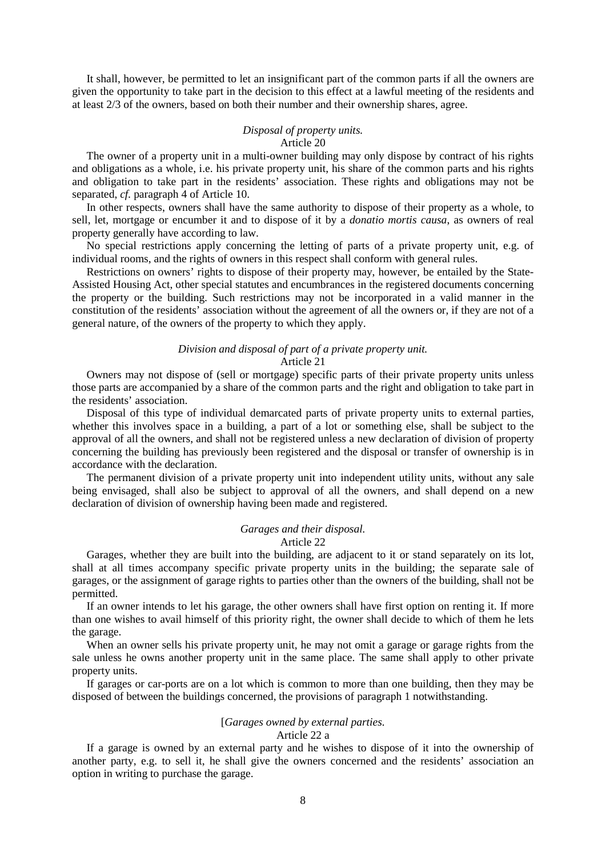It shall, however, be permitted to let an insignificant part of the common parts if all the owners are given the opportunity to take part in the decision to this effect at a lawful meeting of the residents and at least 2/3 of the owners, based on both their number and their ownership shares, agree.

## *Disposal of property units.*

Article 20

The owner of a property unit in a multi-owner building may only dispose by contract of his rights and obligations as a whole, i.e. his private property unit, his share of the common parts and his rights and obligation to take part in the residents' association. These rights and obligations may not be separated, *cf.* paragraph 4 of Article 10.

In other respects, owners shall have the same authority to dispose of their property as a whole, to sell, let, mortgage or encumber it and to dispose of it by a *donatio mortis causa*, as owners of real property generally have according to law.

No special restrictions apply concerning the letting of parts of a private property unit, e.g. of individual rooms, and the rights of owners in this respect shall conform with general rules.

Restrictions on owners' rights to dispose of their property may, however, be entailed by the State-Assisted Housing Act, other special statutes and encumbrances in the registered documents concerning the property or the building. Such restrictions may not be incorporated in a valid manner in the constitution of the residents' association without the agreement of all the owners or, if they are not of a general nature, of the owners of the property to which they apply.

## *Division and disposal of part of a private property unit.*

## Article 21

Owners may not dispose of (sell or mortgage) specific parts of their private property units unless those parts are accompanied by a share of the common parts and the right and obligation to take part in the residents' association.

Disposal of this type of individual demarcated parts of private property units to external parties, whether this involves space in a building, a part of a lot or something else, shall be subject to the approval of all the owners, and shall not be registered unless a new declaration of division of property concerning the building has previously been registered and the disposal or transfer of ownership is in accordance with the declaration.

The permanent division of a private property unit into independent utility units, without any sale being envisaged, shall also be subject to approval of all the owners, and shall depend on a new declaration of division of ownership having been made and registered.

## *Garages and their disposal.*

Article 22

Garages, whether they are built into the building, are adjacent to it or stand separately on its lot, shall at all times accompany specific private property units in the building; the separate sale of garages, or the assignment of garage rights to parties other than the owners of the building, shall not be permitted.

If an owner intends to let his garage, the other owners shall have first option on renting it. If more than one wishes to avail himself of this priority right, the owner shall decide to which of them he lets the garage.

When an owner sells his private property unit, he may not omit a garage or garage rights from the sale unless he owns another property unit in the same place. The same shall apply to other private property units.

If garages or car-ports are on a lot which is common to more than one building, then they may be disposed of between the buildings concerned, the provisions of paragraph 1 notwithstanding.

#### [*Garages owned by external parties.*

## Article 22 a

If a garage is owned by an external party and he wishes to dispose of it into the ownership of another party, e.g. to sell it, he shall give the owners concerned and the residents' association an option in writing to purchase the garage.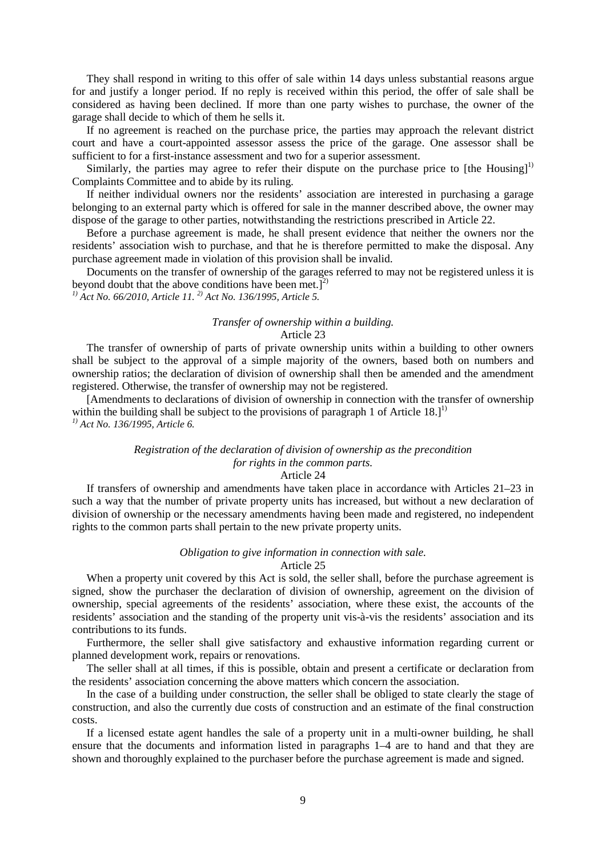They shall respond in writing to this offer of sale within 14 days unless substantial reasons argue for and justify a longer period. If no reply is received within this period, the offer of sale shall be considered as having been declined. If more than one party wishes to purchase, the owner of the garage shall decide to which of them he sells it.

If no agreement is reached on the purchase price, the parties may approach the relevant district court and have a court-appointed assessor assess the price of the garage. One assessor shall be sufficient to for a first-instance assessment and two for a superior assessment.

Similarly, the parties may agree to refer their dispute on the purchase price to [the Housing]<sup>1)</sup> Complaints Committee and to abide by its ruling.

If neither individual owners nor the residents' association are interested in purchasing a garage belonging to an external party which is offered for sale in the manner described above, the owner may dispose of the garage to other parties, notwithstanding the restrictions prescribed in Article 22.

Before a purchase agreement is made, he shall present evidence that neither the owners nor the residents' association wish to purchase, and that he is therefore permitted to make the disposal. Any purchase agreement made in violation of this provision shall be invalid.

Documents on the transfer of ownership of the garages referred to may not be registered unless it is beyond doubt that the above conditions have been met.<sup>[2]</sup>

*1) Act No. 66/2010, Article 11. 2) Act No. 136/1995, Article 5.*

# *Transfer of ownership within a building.*

## Article 23

The transfer of ownership of parts of private ownership units within a building to other owners shall be subject to the approval of a simple majority of the owners, based both on numbers and ownership ratios; the declaration of division of ownership shall then be amended and the amendment registered. Otherwise, the transfer of ownership may not be registered.

[Amendments to declarations of division of ownership in connection with the transfer of ownership within the building shall be subject to the provisions of paragraph 1 of Article 18.<sup>11</sup> *1) Act No. 136/1995, Article 6.*

## *Registration of the declaration of division of ownership as the precondition for rights in the common parts.*

## Article 24

If transfers of ownership and amendments have taken place in accordance with Articles 21–23 in such a way that the number of private property units has increased, but without a new declaration of division of ownership or the necessary amendments having been made and registered, no independent rights to the common parts shall pertain to the new private property units.

# *Obligation to give information in connection with sale.*

Article 25

When a property unit covered by this Act is sold, the seller shall, before the purchase agreement is signed, show the purchaser the declaration of division of ownership, agreement on the division of ownership, special agreements of the residents' association, where these exist, the accounts of the residents' association and the standing of the property unit vis-à-vis the residents' association and its contributions to its funds.

Furthermore, the seller shall give satisfactory and exhaustive information regarding current or planned development work, repairs or renovations.

The seller shall at all times, if this is possible, obtain and present a certificate or declaration from the residents' association concerning the above matters which concern the association.

In the case of a building under construction, the seller shall be obliged to state clearly the stage of construction, and also the currently due costs of construction and an estimate of the final construction costs.

If a licensed estate agent handles the sale of a property unit in a multi-owner building, he shall ensure that the documents and information listed in paragraphs 1–4 are to hand and that they are shown and thoroughly explained to the purchaser before the purchase agreement is made and signed.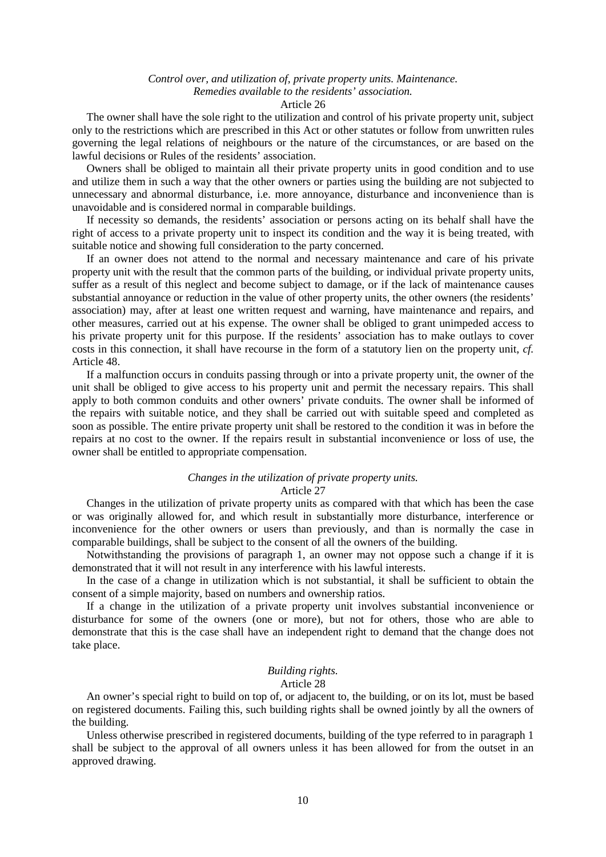#### *Control over, and utilization of, private property units. Maintenance. Remedies available to the residents' association.* Article 26

The owner shall have the sole right to the utilization and control of his private property unit, subject only to the restrictions which are prescribed in this Act or other statutes or follow from unwritten rules governing the legal relations of neighbours or the nature of the circumstances, or are based on the lawful decisions or Rules of the residents' association.

Owners shall be obliged to maintain all their private property units in good condition and to use and utilize them in such a way that the other owners or parties using the building are not subjected to unnecessary and abnormal disturbance, i.e. more annoyance, disturbance and inconvenience than is unavoidable and is considered normal in comparable buildings.

If necessity so demands, the residents' association or persons acting on its behalf shall have the right of access to a private property unit to inspect its condition and the way it is being treated, with suitable notice and showing full consideration to the party concerned.

If an owner does not attend to the normal and necessary maintenance and care of his private property unit with the result that the common parts of the building, or individual private property units, suffer as a result of this neglect and become subject to damage, or if the lack of maintenance causes substantial annoyance or reduction in the value of other property units, the other owners (the residents' association) may, after at least one written request and warning, have maintenance and repairs, and other measures, carried out at his expense. The owner shall be obliged to grant unimpeded access to his private property unit for this purpose. If the residents' association has to make outlays to cover costs in this connection, it shall have recourse in the form of a statutory lien on the property unit, *cf.* Article 48.

If a malfunction occurs in conduits passing through or into a private property unit, the owner of the unit shall be obliged to give access to his property unit and permit the necessary repairs. This shall apply to both common conduits and other owners' private conduits. The owner shall be informed of the repairs with suitable notice, and they shall be carried out with suitable speed and completed as soon as possible. The entire private property unit shall be restored to the condition it was in before the repairs at no cost to the owner. If the repairs result in substantial inconvenience or loss of use, the owner shall be entitled to appropriate compensation.

## *Changes in the utilization of private property units.*

#### Article 27

Changes in the utilization of private property units as compared with that which has been the case or was originally allowed for, and which result in substantially more disturbance, interference or inconvenience for the other owners or users than previously, and than is normally the case in comparable buildings, shall be subject to the consent of all the owners of the building.

Notwithstanding the provisions of paragraph 1, an owner may not oppose such a change if it is demonstrated that it will not result in any interference with his lawful interests.

In the case of a change in utilization which is not substantial, it shall be sufficient to obtain the consent of a simple majority, based on numbers and ownership ratios.

If a change in the utilization of a private property unit involves substantial inconvenience or disturbance for some of the owners (one or more), but not for others, those who are able to demonstrate that this is the case shall have an independent right to demand that the change does not take place.

## *Building rights.*

## Article 28

An owner's special right to build on top of, or adjacent to, the building, or on its lot, must be based on registered documents. Failing this, such building rights shall be owned jointly by all the owners of the building.

Unless otherwise prescribed in registered documents, building of the type referred to in paragraph 1 shall be subject to the approval of all owners unless it has been allowed for from the outset in an approved drawing.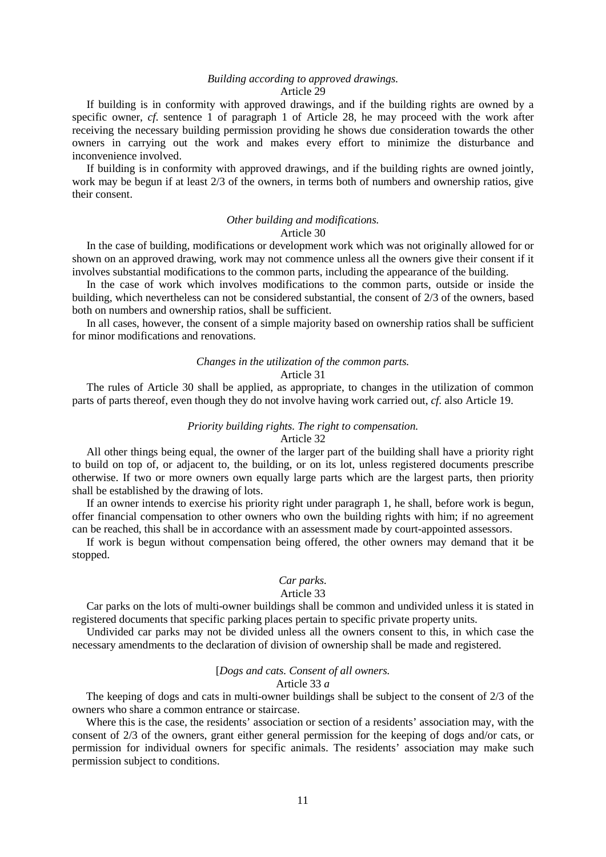## *Building according to approved drawings.* Article 29

If building is in conformity with approved drawings, and if the building rights are owned by a specific owner, *cf.* sentence 1 of paragraph 1 of Article 28, he may proceed with the work after receiving the necessary building permission providing he shows due consideration towards the other owners in carrying out the work and makes every effort to minimize the disturbance and inconvenience involved.

If building is in conformity with approved drawings, and if the building rights are owned jointly, work may be begun if at least 2/3 of the owners, in terms both of numbers and ownership ratios, give their consent.

## *Other building and modifications.* Article 30

In the case of building, modifications or development work which was not originally allowed for or shown on an approved drawing, work may not commence unless all the owners give their consent if it involves substantial modifications to the common parts, including the appearance of the building.

In the case of work which involves modifications to the common parts, outside or inside the building, which nevertheless can not be considered substantial, the consent of 2/3 of the owners, based both on numbers and ownership ratios, shall be sufficient.

In all cases, however, the consent of a simple majority based on ownership ratios shall be sufficient for minor modifications and renovations.

#### *Changes in the utilization of the common parts.* Article 31

The rules of Article 30 shall be applied, as appropriate, to changes in the utilization of common parts of parts thereof, even though they do not involve having work carried out, *cf.* also Article 19.

#### *Priority building rights. The right to compensation.*

## Article 32

All other things being equal, the owner of the larger part of the building shall have a priority right to build on top of, or adjacent to, the building, or on its lot, unless registered documents prescribe otherwise. If two or more owners own equally large parts which are the largest parts, then priority shall be established by the drawing of lots.

If an owner intends to exercise his priority right under paragraph 1, he shall, before work is begun, offer financial compensation to other owners who own the building rights with him; if no agreement can be reached, this shall be in accordance with an assessment made by court-appointed assessors.

If work is begun without compensation being offered, the other owners may demand that it be stopped.

## *Car parks.*

#### Article 33

Car parks on the lots of multi-owner buildings shall be common and undivided unless it is stated in registered documents that specific parking places pertain to specific private property units.

Undivided car parks may not be divided unless all the owners consent to this, in which case the necessary amendments to the declaration of division of ownership shall be made and registered.

#### [*Dogs and cats. Consent of all owners.*

## Article 33 *a*

 The keeping of dogs and cats in multi-owner buildings shall be subject to the consent of 2/3 of the owners who share a common entrance or staircase.

Where this is the case, the residents' association or section of a residents' association may, with the consent of 2/3 of the owners, grant either general permission for the keeping of dogs and/or cats, or permission for individual owners for specific animals. The residents' association may make such permission subject to conditions.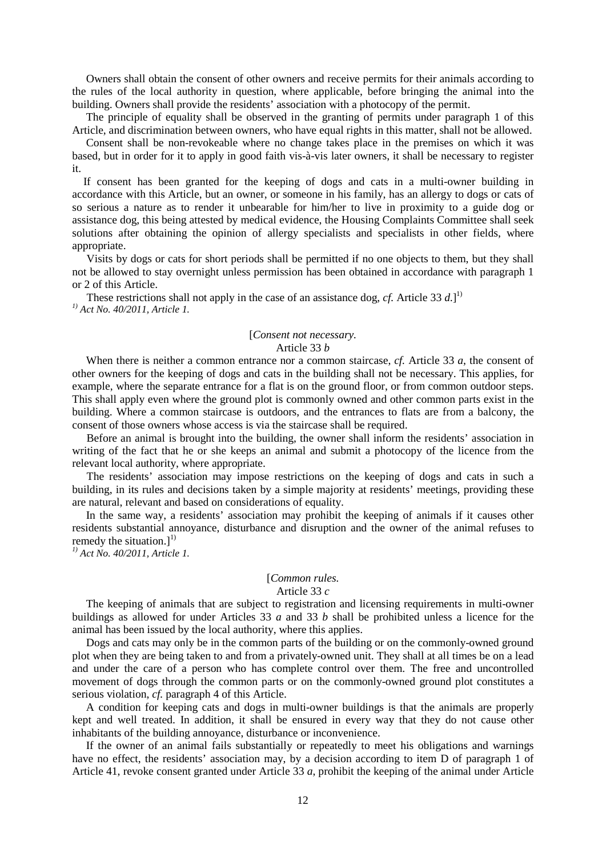Owners shall obtain the consent of other owners and receive permits for their animals according to the rules of the local authority in question, where applicable, before bringing the animal into the building. Owners shall provide the residents' association with a photocopy of the permit.

 The principle of equality shall be observed in the granting of permits under paragraph 1 of this Article, and discrimination between owners, who have equal rights in this matter, shall not be allowed.

 Consent shall be non-revokeable where no change takes place in the premises on which it was based, but in order for it to apply in good faith vis-à-vis later owners, it shall be necessary to register it.

 If consent has been granted for the keeping of dogs and cats in a multi-owner building in accordance with this Article, but an owner, or someone in his family, has an allergy to dogs or cats of so serious a nature as to render it unbearable for him/her to live in proximity to a guide dog or assistance dog, this being attested by medical evidence, the Housing Complaints Committee shall seek solutions after obtaining the opinion of allergy specialists and specialists in other fields, where appropriate.

Visits by dogs or cats for short periods shall be permitted if no one objects to them, but they shall not be allowed to stay overnight unless permission has been obtained in accordance with paragraph 1 or 2 of this Article.

These restrictions shall not apply in the case of an assistance dog, *cf.* Article 33 *d*.] 1) *1) Act No. 40/2011, Article 1.* 

## [*Consent not necessary.*

## Article 33 *b*

 When there is neither a common entrance nor a common staircase, *cf.* Article 33 *a*, the consent of other owners for the keeping of dogs and cats in the building shall not be necessary. This applies, for example, where the separate entrance for a flat is on the ground floor, or from common outdoor steps. This shall apply even where the ground plot is commonly owned and other common parts exist in the building. Where a common staircase is outdoors, and the entrances to flats are from a balcony, the consent of those owners whose access is via the staircase shall be required.

Before an animal is brought into the building, the owner shall inform the residents' association in writing of the fact that he or she keeps an animal and submit a photocopy of the licence from the relevant local authority, where appropriate.

The residents' association may impose restrictions on the keeping of dogs and cats in such a building, in its rules and decisions taken by a simple majority at residents' meetings, providing these are natural, relevant and based on considerations of equality.

 In the same way, a residents' association may prohibit the keeping of animals if it causes other residents substantial annoyance, disturbance and disruption and the owner of the animal refuses to remedy the situation.]<sup>1)</sup>

*1) Act No. 40/2011, Article 1.* 

## [*Common rules.*

#### Article 33 *c*

 The keeping of animals that are subject to registration and licensing requirements in multi-owner buildings as allowed for under Articles 33 *a* and 33 *b* shall be prohibited unless a licence for the animal has been issued by the local authority, where this applies.

 Dogs and cats may only be in the common parts of the building or on the commonly-owned ground plot when they are being taken to and from a privately-owned unit. They shall at all times be on a lead and under the care of a person who has complete control over them. The free and uncontrolled movement of dogs through the common parts or on the commonly-owned ground plot constitutes a serious violation, *cf.* paragraph 4 of this Article.

 A condition for keeping cats and dogs in multi-owner buildings is that the animals are properly kept and well treated. In addition, it shall be ensured in every way that they do not cause other inhabitants of the building annoyance, disturbance or inconvenience.

 If the owner of an animal fails substantially or repeatedly to meet his obligations and warnings have no effect, the residents' association may, by a decision according to item D of paragraph 1 of Article 41, revoke consent granted under Article 33 *a*, prohibit the keeping of the animal under Article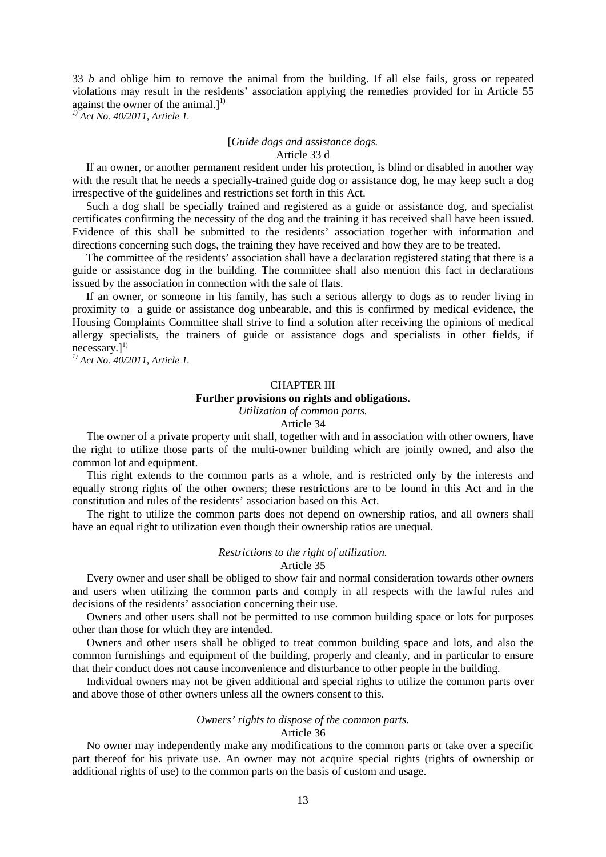33 *b* and oblige him to remove the animal from the building. If all else fails, gross or repeated violations may result in the residents' association applying the remedies provided for in Article 55 against the owner of the animal.] $^{1)}$ 

*1) Act No. 40/2011, Article 1.* 

# [*Guide dogs and assistance dogs.*

Article 33 d

 If an owner, or another permanent resident under his protection, is blind or disabled in another way with the result that he needs a specially-trained guide dog or assistance dog, he may keep such a dog irrespective of the guidelines and restrictions set forth in this Act.

 Such a dog shall be specially trained and registered as a guide or assistance dog, and specialist certificates confirming the necessity of the dog and the training it has received shall have been issued. Evidence of this shall be submitted to the residents' association together with information and directions concerning such dogs, the training they have received and how they are to be treated.

 The committee of the residents' association shall have a declaration registered stating that there is a guide or assistance dog in the building. The committee shall also mention this fact in declarations issued by the association in connection with the sale of flats.

 If an owner, or someone in his family, has such a serious allergy to dogs as to render living in proximity to a guide or assistance dog unbearable, and this is confirmed by medical evidence, the Housing Complaints Committee shall strive to find a solution after receiving the opinions of medical allergy specialists, the trainers of guide or assistance dogs and specialists in other fields, if  $n$ ecessary.]<sup>1)</sup>

*1) Act No. 40/2011, Article 1.*

## CHAPTER III **Further provisions on rights and obligations.** *Utilization of common parts.*

Article 34

The owner of a private property unit shall, together with and in association with other owners, have the right to utilize those parts of the multi-owner building which are jointly owned, and also the common lot and equipment.

This right extends to the common parts as a whole, and is restricted only by the interests and equally strong rights of the other owners; these restrictions are to be found in this Act and in the constitution and rules of the residents' association based on this Act.

The right to utilize the common parts does not depend on ownership ratios, and all owners shall have an equal right to utilization even though their ownership ratios are unequal.

## *Restrictions to the right of utilization.*

Article 35

Every owner and user shall be obliged to show fair and normal consideration towards other owners and users when utilizing the common parts and comply in all respects with the lawful rules and decisions of the residents' association concerning their use.

Owners and other users shall not be permitted to use common building space or lots for purposes other than those for which they are intended.

Owners and other users shall be obliged to treat common building space and lots, and also the common furnishings and equipment of the building, properly and cleanly, and in particular to ensure that their conduct does not cause inconvenience and disturbance to other people in the building.

Individual owners may not be given additional and special rights to utilize the common parts over and above those of other owners unless all the owners consent to this.

#### *Owners' rights to dispose of the common parts.*

## Article 36

No owner may independently make any modifications to the common parts or take over a specific part thereof for his private use. An owner may not acquire special rights (rights of ownership or additional rights of use) to the common parts on the basis of custom and usage.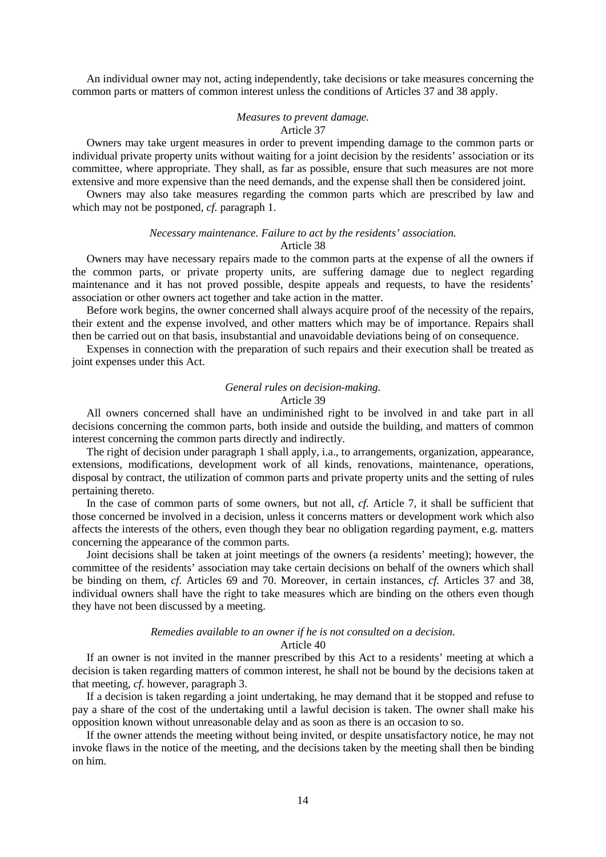An individual owner may not, acting independently, take decisions or take measures concerning the common parts or matters of common interest unless the conditions of Articles 37 and 38 apply.

## *Measures to prevent damage.*

## Article 37

Owners may take urgent measures in order to prevent impending damage to the common parts or individual private property units without waiting for a joint decision by the residents' association or its committee, where appropriate. They shall, as far as possible, ensure that such measures are not more extensive and more expensive than the need demands, and the expense shall then be considered joint.

Owners may also take measures regarding the common parts which are prescribed by law and which may not be postponed, *cf.* paragraph 1.

#### *Necessary maintenance. Failure to act by the residents' association.* Article 38

Owners may have necessary repairs made to the common parts at the expense of all the owners if the common parts, or private property units, are suffering damage due to neglect regarding maintenance and it has not proved possible, despite appeals and requests, to have the residents' association or other owners act together and take action in the matter.

Before work begins, the owner concerned shall always acquire proof of the necessity of the repairs, their extent and the expense involved, and other matters which may be of importance. Repairs shall then be carried out on that basis, insubstantial and unavoidable deviations being of on consequence.

Expenses in connection with the preparation of such repairs and their execution shall be treated as joint expenses under this Act.

#### *General rules on decision-making.*

## Article 39

All owners concerned shall have an undiminished right to be involved in and take part in all decisions concerning the common parts, both inside and outside the building, and matters of common interest concerning the common parts directly and indirectly.

The right of decision under paragraph 1 shall apply, i.a., to arrangements, organization, appearance, extensions, modifications, development work of all kinds, renovations, maintenance, operations, disposal by contract, the utilization of common parts and private property units and the setting of rules pertaining thereto.

In the case of common parts of some owners, but not all, *cf.* Article 7, it shall be sufficient that those concerned be involved in a decision, unless it concerns matters or development work which also affects the interests of the others, even though they bear no obligation regarding payment, e.g. matters concerning the appearance of the common parts.

Joint decisions shall be taken at joint meetings of the owners (a residents' meeting); however, the committee of the residents' association may take certain decisions on behalf of the owners which shall be binding on them, *cf.* Articles 69 and 70. Moreover, in certain instances, *cf.* Articles 37 and 38, individual owners shall have the right to take measures which are binding on the others even though they have not been discussed by a meeting.

## *Remedies available to an owner if he is not consulted on a decision.*

## Article 40

If an owner is not invited in the manner prescribed by this Act to a residents' meeting at which a decision is taken regarding matters of common interest, he shall not be bound by the decisions taken at that meeting, *cf.* however, paragraph 3.

If a decision is taken regarding a joint undertaking, he may demand that it be stopped and refuse to pay a share of the cost of the undertaking until a lawful decision is taken. The owner shall make his opposition known without unreasonable delay and as soon as there is an occasion to so.

If the owner attends the meeting without being invited, or despite unsatisfactory notice, he may not invoke flaws in the notice of the meeting, and the decisions taken by the meeting shall then be binding on him.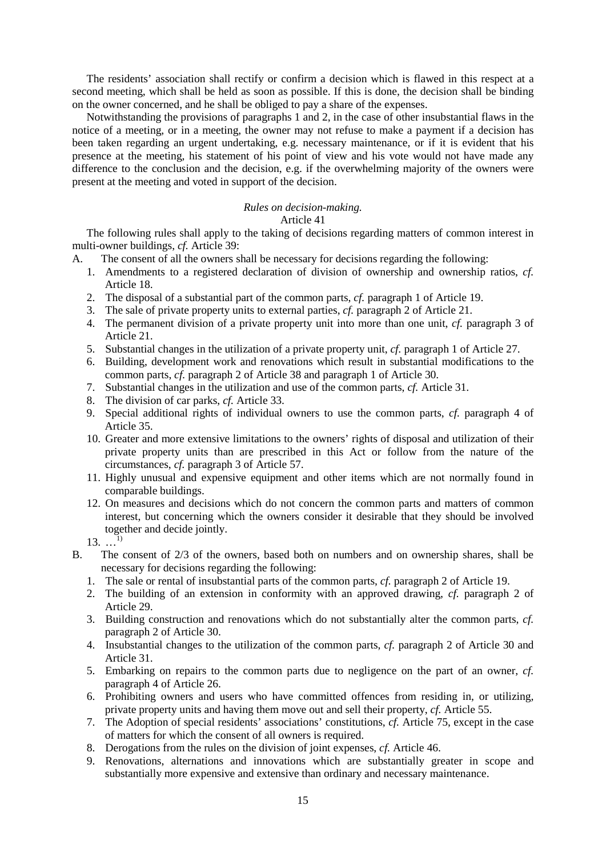The residents' association shall rectify or confirm a decision which is flawed in this respect at a second meeting, which shall be held as soon as possible. If this is done, the decision shall be binding on the owner concerned, and he shall be obliged to pay a share of the expenses.

Notwithstanding the provisions of paragraphs 1 and 2, in the case of other insubstantial flaws in the notice of a meeting, or in a meeting, the owner may not refuse to make a payment if a decision has been taken regarding an urgent undertaking, e.g. necessary maintenance, or if it is evident that his presence at the meeting, his statement of his point of view and his vote would not have made any difference to the conclusion and the decision, e.g. if the overwhelming majority of the owners were present at the meeting and voted in support of the decision.

## *Rules on decision-making.*

## Article 41

The following rules shall apply to the taking of decisions regarding matters of common interest in multi-owner buildings, *cf.* Article 39:

- A. The consent of all the owners shall be necessary for decisions regarding the following:
	- 1. Amendments to a registered declaration of division of ownership and ownership ratios, *cf.* Article 18.
	- 2. The disposal of a substantial part of the common parts, *cf.* paragraph 1 of Article 19.
	- 3. The sale of private property units to external parties, *cf.* paragraph 2 of Article 21.
	- 4. The permanent division of a private property unit into more than one unit, *cf.* paragraph 3 of Article 21.
	- 5. Substantial changes in the utilization of a private property unit, *cf.* paragraph 1 of Article 27.
	- 6. Building, development work and renovations which result in substantial modifications to the common parts, *cf.* paragraph 2 of Article 38 and paragraph 1 of Article 30.
	- 7. Substantial changes in the utilization and use of the common parts, *cf.* Article 31.
	- 8. The division of car parks, *cf.* Article 33.
	- 9. Special additional rights of individual owners to use the common parts, *cf.* paragraph 4 of Article 35.
	- 10. Greater and more extensive limitations to the owners' rights of disposal and utilization of their private property units than are prescribed in this Act or follow from the nature of the circumstances, *cf.* paragraph 3 of Article 57.
	- 11. Highly unusual and expensive equipment and other items which are not normally found in comparable buildings.
	- 12. On measures and decisions which do not concern the common parts and matters of common interest, but concerning which the owners consider it desirable that they should be involved together and decide jointly.

 $13^{11}$ 

- B. The consent of 2/3 of the owners, based both on numbers and on ownership shares, shall be necessary for decisions regarding the following:
	- 1. The sale or rental of insubstantial parts of the common parts, *cf.* paragraph 2 of Article 19.
	- 2. The building of an extension in conformity with an approved drawing, *cf.* paragraph 2 of Article 29.
	- 3. Building construction and renovations which do not substantially alter the common parts, *cf.* paragraph 2 of Article 30.
	- 4. Insubstantial changes to the utilization of the common parts, *cf.* paragraph 2 of Article 30 and Article 31.
	- 5. Embarking on repairs to the common parts due to negligence on the part of an owner, *cf.* paragraph 4 of Article 26.
	- 6. Prohibiting owners and users who have committed offences from residing in, or utilizing, private property units and having them move out and sell their property, *cf.* Article 55.
	- 7. The Adoption of special residents' associations' constitutions, *cf.* Article 75, except in the case of matters for which the consent of all owners is required.
	- 8. Derogations from the rules on the division of joint expenses, *cf.* Article 46.
	- 9. Renovations, alternations and innovations which are substantially greater in scope and substantially more expensive and extensive than ordinary and necessary maintenance.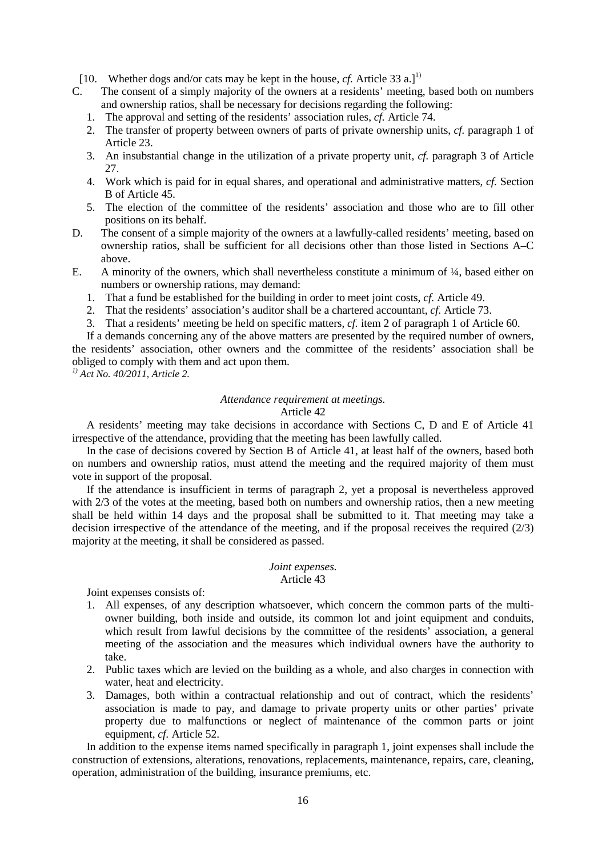- [10. Whether dogs and/or cats may be kept in the house, *cf.* Article 33 a.]<sup>1)</sup>
- C. The consent of a simply majority of the owners at a residents' meeting, based both on numbers and ownership ratios, shall be necessary for decisions regarding the following:
	- 1. The approval and setting of the residents' association rules, *cf.* Article 74.
	- 2. The transfer of property between owners of parts of private ownership units, *cf.* paragraph 1 of Article 23.
	- 3. An insubstantial change in the utilization of a private property unit, *cf.* paragraph 3 of Article 27.
	- 4. Work which is paid for in equal shares, and operational and administrative matters, *cf.* Section B of Article 45.
	- 5. The election of the committee of the residents' association and those who are to fill other positions on its behalf.
- D. The consent of a simple majority of the owners at a lawfully-called residents' meeting, based on ownership ratios, shall be sufficient for all decisions other than those listed in Sections A–C above.
- E. A minority of the owners, which shall nevertheless constitute a minimum of ¼, based either on numbers or ownership rations, may demand:
	- 1. That a fund be established for the building in order to meet joint costs, *cf.* Article 49.
	- 2. That the residents' association's auditor shall be a chartered accountant, *cf.* Article 73.
	- 3. That a residents' meeting be held on specific matters, *cf.* item 2 of paragraph 1 of Article 60.

If a demands concerning any of the above matters are presented by the required number of owners, the residents' association, other owners and the committee of the residents' association shall be obliged to comply with them and act upon them.

*1) Act No. 40/2011, Article 2.* 

#### *Attendance requirement at meetings.*

## Article 42

A residents' meeting may take decisions in accordance with Sections C, D and E of Article 41 irrespective of the attendance, providing that the meeting has been lawfully called.

In the case of decisions covered by Section B of Article 41, at least half of the owners, based both on numbers and ownership ratios, must attend the meeting and the required majority of them must vote in support of the proposal.

If the attendance is insufficient in terms of paragraph 2, yet a proposal is nevertheless approved with 2/3 of the votes at the meeting, based both on numbers and ownership ratios, then a new meeting shall be held within 14 days and the proposal shall be submitted to it. That meeting may take a decision irrespective of the attendance of the meeting, and if the proposal receives the required  $(2/3)$ majority at the meeting, it shall be considered as passed.

## *Joint expenses.*

## Article 43

Joint expenses consists of:

- 1. All expenses, of any description whatsoever, which concern the common parts of the multiowner building, both inside and outside, its common lot and joint equipment and conduits, which result from lawful decisions by the committee of the residents' association, a general meeting of the association and the measures which individual owners have the authority to take.
- 2. Public taxes which are levied on the building as a whole, and also charges in connection with water, heat and electricity.
- 3. Damages, both within a contractual relationship and out of contract, which the residents' association is made to pay, and damage to private property units or other parties' private property due to malfunctions or neglect of maintenance of the common parts or joint equipment, *cf.* Article 52.

In addition to the expense items named specifically in paragraph 1, joint expenses shall include the construction of extensions, alterations, renovations, replacements, maintenance, repairs, care, cleaning, operation, administration of the building, insurance premiums, etc.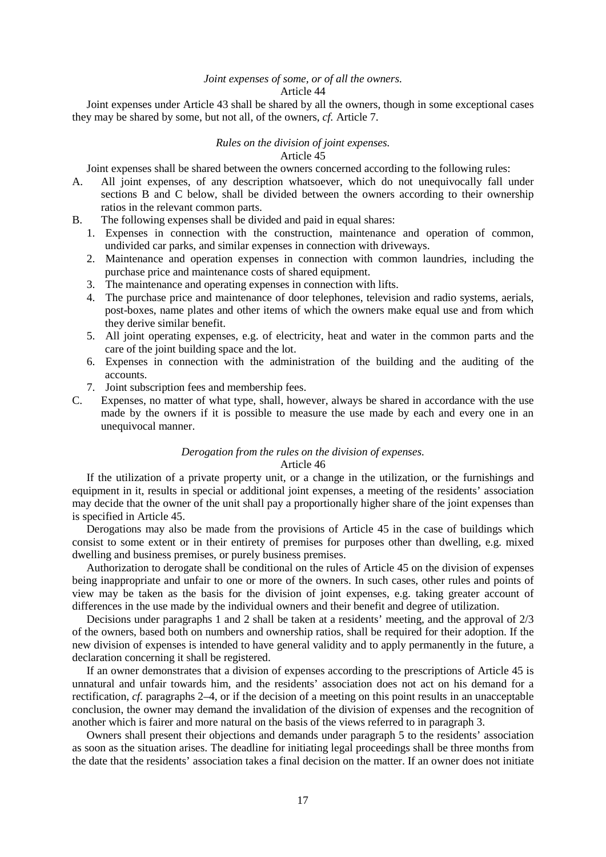## *Joint expenses of some, or of all the owners.*

## Article 44

Joint expenses under Article 43 shall be shared by all the owners, though in some exceptional cases they may be shared by some, but not all, of the owners, *cf.* Article 7.

## *Rules on the division of joint expenses.*

## Article 45

Joint expenses shall be shared between the owners concerned according to the following rules:

- A. All joint expenses, of any description whatsoever, which do not unequivocally fall under sections B and C below, shall be divided between the owners according to their ownership ratios in the relevant common parts.
- B. The following expenses shall be divided and paid in equal shares:
	- 1. Expenses in connection with the construction, maintenance and operation of common, undivided car parks, and similar expenses in connection with driveways.
	- 2. Maintenance and operation expenses in connection with common laundries, including the purchase price and maintenance costs of shared equipment.
	- 3. The maintenance and operating expenses in connection with lifts.
	- 4. The purchase price and maintenance of door telephones, television and radio systems, aerials, post-boxes, name plates and other items of which the owners make equal use and from which they derive similar benefit.
	- 5. All joint operating expenses, e.g. of electricity, heat and water in the common parts and the care of the joint building space and the lot.
	- 6. Expenses in connection with the administration of the building and the auditing of the accounts.
	- 7. Joint subscription fees and membership fees.
- C. Expenses, no matter of what type, shall, however, always be shared in accordance with the use made by the owners if it is possible to measure the use made by each and every one in an unequivocal manner.

#### *Derogation from the rules on the division of expenses.* Article 46

If the utilization of a private property unit, or a change in the utilization, or the furnishings and equipment in it, results in special or additional joint expenses, a meeting of the residents' association may decide that the owner of the unit shall pay a proportionally higher share of the joint expenses than is specified in Article 45.

Derogations may also be made from the provisions of Article 45 in the case of buildings which consist to some extent or in their entirety of premises for purposes other than dwelling, e.g. mixed dwelling and business premises, or purely business premises.

Authorization to derogate shall be conditional on the rules of Article 45 on the division of expenses being inappropriate and unfair to one or more of the owners. In such cases, other rules and points of view may be taken as the basis for the division of joint expenses, e.g. taking greater account of differences in the use made by the individual owners and their benefit and degree of utilization.

Decisions under paragraphs 1 and 2 shall be taken at a residents' meeting, and the approval of 2/3 of the owners, based both on numbers and ownership ratios, shall be required for their adoption. If the new division of expenses is intended to have general validity and to apply permanently in the future, a declaration concerning it shall be registered.

If an owner demonstrates that a division of expenses according to the prescriptions of Article 45 is unnatural and unfair towards him, and the residents' association does not act on his demand for a rectification, *cf.* paragraphs 2–4, or if the decision of a meeting on this point results in an unacceptable conclusion, the owner may demand the invalidation of the division of expenses and the recognition of another which is fairer and more natural on the basis of the views referred to in paragraph 3.

Owners shall present their objections and demands under paragraph 5 to the residents' association as soon as the situation arises. The deadline for initiating legal proceedings shall be three months from the date that the residents' association takes a final decision on the matter. If an owner does not initiate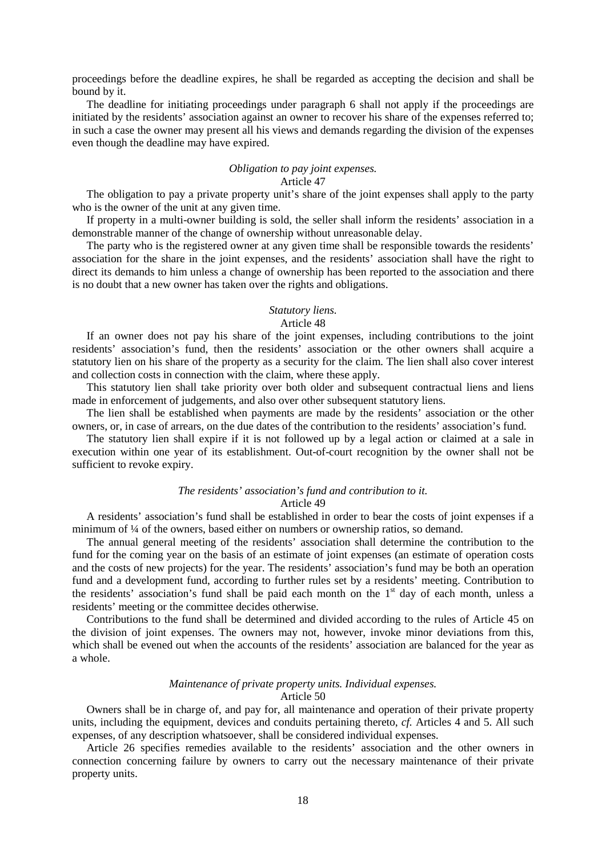proceedings before the deadline expires, he shall be regarded as accepting the decision and shall be bound by it.

The deadline for initiating proceedings under paragraph 6 shall not apply if the proceedings are initiated by the residents' association against an owner to recover his share of the expenses referred to; in such a case the owner may present all his views and demands regarding the division of the expenses even though the deadline may have expired.

## *Obligation to pay joint expenses.*

## Article 47

The obligation to pay a private property unit's share of the joint expenses shall apply to the party who is the owner of the unit at any given time.

If property in a multi-owner building is sold, the seller shall inform the residents' association in a demonstrable manner of the change of ownership without unreasonable delay.

The party who is the registered owner at any given time shall be responsible towards the residents' association for the share in the joint expenses, and the residents' association shall have the right to direct its demands to him unless a change of ownership has been reported to the association and there is no doubt that a new owner has taken over the rights and obligations.

## *Statutory liens.*

#### Article 48

If an owner does not pay his share of the joint expenses, including contributions to the joint residents' association's fund, then the residents' association or the other owners shall acquire a statutory lien on his share of the property as a security for the claim. The lien shall also cover interest and collection costs in connection with the claim, where these apply.

This statutory lien shall take priority over both older and subsequent contractual liens and liens made in enforcement of judgements, and also over other subsequent statutory liens.

The lien shall be established when payments are made by the residents' association or the other owners, or, in case of arrears, on the due dates of the contribution to the residents' association's fund.

The statutory lien shall expire if it is not followed up by a legal action or claimed at a sale in execution within one year of its establishment. Out-of-court recognition by the owner shall not be sufficient to revoke expiry.

# *The residents' association's fund and contribution to it.*

## Article 49

A residents' association's fund shall be established in order to bear the costs of joint expenses if a minimum of ¼ of the owners, based either on numbers or ownership ratios, so demand.

The annual general meeting of the residents' association shall determine the contribution to the fund for the coming year on the basis of an estimate of joint expenses (an estimate of operation costs and the costs of new projects) for the year. The residents' association's fund may be both an operation fund and a development fund, according to further rules set by a residents' meeting. Contribution to the residents' association's fund shall be paid each month on the 1<sup>st</sup> day of each month, unless a residents' meeting or the committee decides otherwise.

Contributions to the fund shall be determined and divided according to the rules of Article 45 on the division of joint expenses. The owners may not, however, invoke minor deviations from this, which shall be evened out when the accounts of the residents' association are balanced for the year as a whole.

## *Maintenance of private property units. Individual expenses.*

## Article 50

Owners shall be in charge of, and pay for, all maintenance and operation of their private property units, including the equipment, devices and conduits pertaining thereto, *cf.* Articles 4 and 5. All such expenses, of any description whatsoever, shall be considered individual expenses.

Article 26 specifies remedies available to the residents' association and the other owners in connection concerning failure by owners to carry out the necessary maintenance of their private property units.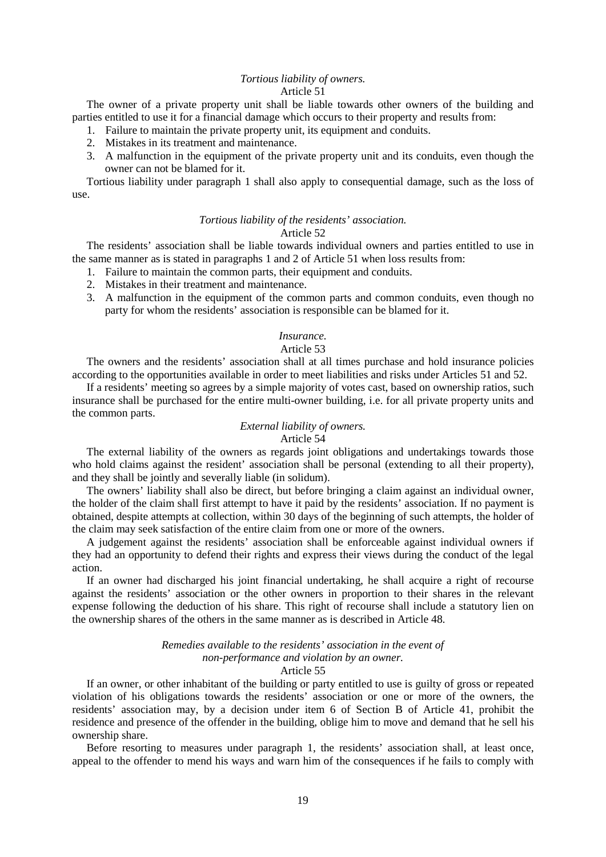#### *Tortious liability of owners.* Article 51

The owner of a private property unit shall be liable towards other owners of the building and parties entitled to use it for a financial damage which occurs to their property and results from:

- 1. Failure to maintain the private property unit, its equipment and conduits.
- 2. Mistakes in its treatment and maintenance.
- 3. A malfunction in the equipment of the private property unit and its conduits, even though the owner can not be blamed for it.

Tortious liability under paragraph 1 shall also apply to consequential damage, such as the loss of use.

## *Tortious liability of the residents' association.*

## Article 52

The residents' association shall be liable towards individual owners and parties entitled to use in the same manner as is stated in paragraphs 1 and 2 of Article 51 when loss results from:

- 1. Failure to maintain the common parts, their equipment and conduits.
- 2. Mistakes in their treatment and maintenance.
- 3. A malfunction in the equipment of the common parts and common conduits, even though no party for whom the residents' association is responsible can be blamed for it.

#### *Insurance.*

#### Article 53

The owners and the residents' association shall at all times purchase and hold insurance policies according to the opportunities available in order to meet liabilities and risks under Articles 51 and 52.

If a residents' meeting so agrees by a simple majority of votes cast, based on ownership ratios, such insurance shall be purchased for the entire multi-owner building, i.e. for all private property units and the common parts.

## *External liability of owners.*

## Article 54

The external liability of the owners as regards joint obligations and undertakings towards those who hold claims against the resident' association shall be personal (extending to all their property), and they shall be jointly and severally liable (in solidum).

The owners' liability shall also be direct, but before bringing a claim against an individual owner, the holder of the claim shall first attempt to have it paid by the residents' association. If no payment is obtained, despite attempts at collection, within 30 days of the beginning of such attempts, the holder of the claim may seek satisfaction of the entire claim from one or more of the owners.

A judgement against the residents' association shall be enforceable against individual owners if they had an opportunity to defend their rights and express their views during the conduct of the legal action.

If an owner had discharged his joint financial undertaking, he shall acquire a right of recourse against the residents' association or the other owners in proportion to their shares in the relevant expense following the deduction of his share. This right of recourse shall include a statutory lien on the ownership shares of the others in the same manner as is described in Article 48.

## *Remedies available to the residents' association in the event of non-performance and violation by an owner.* Article 55

If an owner, or other inhabitant of the building or party entitled to use is guilty of gross or repeated violation of his obligations towards the residents' association or one or more of the owners, the residents' association may, by a decision under item 6 of Section B of Article 41, prohibit the residence and presence of the offender in the building, oblige him to move and demand that he sell his ownership share.

Before resorting to measures under paragraph 1, the residents' association shall, at least once, appeal to the offender to mend his ways and warn him of the consequences if he fails to comply with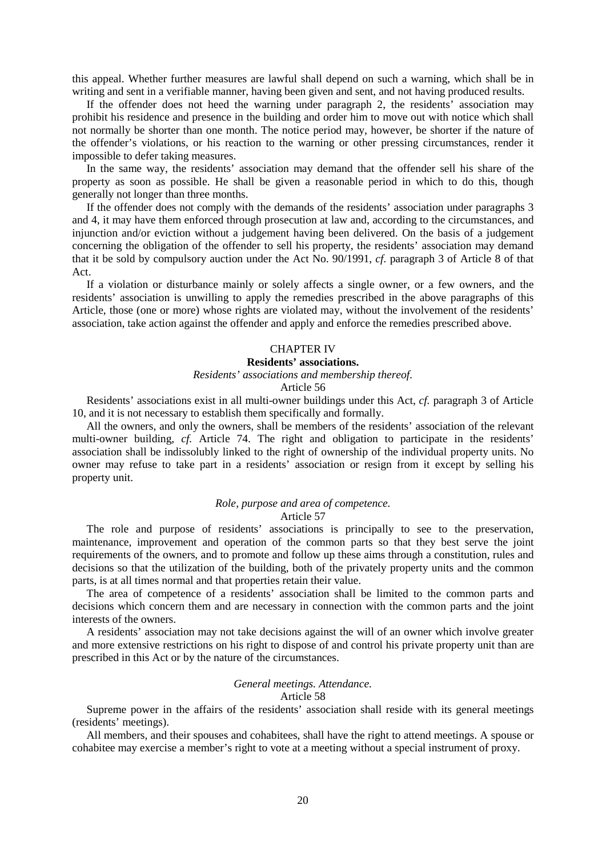this appeal. Whether further measures are lawful shall depend on such a warning, which shall be in writing and sent in a verifiable manner, having been given and sent, and not having produced results.

If the offender does not heed the warning under paragraph 2, the residents' association may prohibit his residence and presence in the building and order him to move out with notice which shall not normally be shorter than one month. The notice period may, however, be shorter if the nature of the offender's violations, or his reaction to the warning or other pressing circumstances, render it impossible to defer taking measures.

In the same way, the residents' association may demand that the offender sell his share of the property as soon as possible. He shall be given a reasonable period in which to do this, though generally not longer than three months.

If the offender does not comply with the demands of the residents' association under paragraphs 3 and 4, it may have them enforced through prosecution at law and, according to the circumstances, and injunction and/or eviction without a judgement having been delivered. On the basis of a judgement concerning the obligation of the offender to sell his property, the residents' association may demand that it be sold by compulsory auction under the Act No. 90/1991, *cf.* paragraph 3 of Article 8 of that Act.

If a violation or disturbance mainly or solely affects a single owner, or a few owners, and the residents' association is unwilling to apply the remedies prescribed in the above paragraphs of this Article, those (one or more) whose rights are violated may, without the involvement of the residents' association, take action against the offender and apply and enforce the remedies prescribed above.

#### CHAPTER IV

## **Residents' associations.**

*Residents' associations and membership thereof.*

## Article 56

Residents' associations exist in all multi-owner buildings under this Act, *cf.* paragraph 3 of Article 10, and it is not necessary to establish them specifically and formally.

All the owners, and only the owners, shall be members of the residents' association of the relevant multi-owner building, *cf.* Article 74. The right and obligation to participate in the residents' association shall be indissolubly linked to the right of ownership of the individual property units. No owner may refuse to take part in a residents' association or resign from it except by selling his property unit.

#### *Role, purpose and area of competence.* Article 57

The role and purpose of residents' associations is principally to see to the preservation, maintenance, improvement and operation of the common parts so that they best serve the joint requirements of the owners, and to promote and follow up these aims through a constitution, rules and decisions so that the utilization of the building, both of the privately property units and the common parts, is at all times normal and that properties retain their value.

The area of competence of a residents' association shall be limited to the common parts and decisions which concern them and are necessary in connection with the common parts and the joint interests of the owners.

A residents' association may not take decisions against the will of an owner which involve greater and more extensive restrictions on his right to dispose of and control his private property unit than are prescribed in this Act or by the nature of the circumstances.

## *General meetings. Attendance.*

Article 58

Supreme power in the affairs of the residents' association shall reside with its general meetings (residents' meetings).

All members, and their spouses and cohabitees, shall have the right to attend meetings. A spouse or cohabitee may exercise a member's right to vote at a meeting without a special instrument of proxy.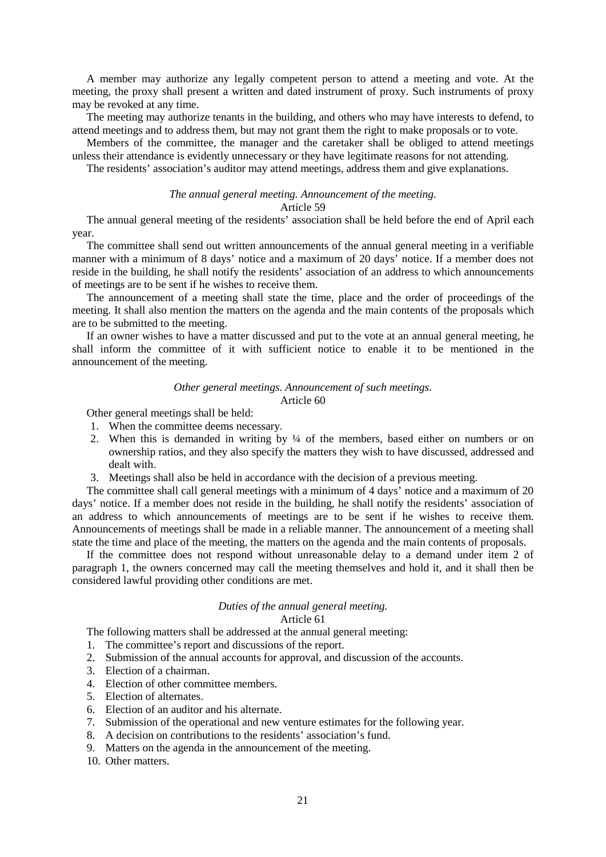A member may authorize any legally competent person to attend a meeting and vote. At the meeting, the proxy shall present a written and dated instrument of proxy. Such instruments of proxy may be revoked at any time.

The meeting may authorize tenants in the building, and others who may have interests to defend, to attend meetings and to address them, but may not grant them the right to make proposals or to vote.

Members of the committee, the manager and the caretaker shall be obliged to attend meetings unless their attendance is evidently unnecessary or they have legitimate reasons for not attending.

The residents' association's auditor may attend meetings, address them and give explanations.

## *The annual general meeting. Announcement of the meeting.*

#### Article 59

The annual general meeting of the residents' association shall be held before the end of April each year.

The committee shall send out written announcements of the annual general meeting in a verifiable manner with a minimum of 8 days' notice and a maximum of 20 days' notice. If a member does not reside in the building, he shall notify the residents' association of an address to which announcements of meetings are to be sent if he wishes to receive them.

The announcement of a meeting shall state the time, place and the order of proceedings of the meeting. It shall also mention the matters on the agenda and the main contents of the proposals which are to be submitted to the meeting.

If an owner wishes to have a matter discussed and put to the vote at an annual general meeting, he shall inform the committee of it with sufficient notice to enable it to be mentioned in the announcement of the meeting.

# *Other general meetings. Announcement of such meetings.*

Article 60

Other general meetings shall be held:

- 1. When the committee deems necessary.
- 2. When this is demanded in writing by ¼ of the members, based either on numbers or on ownership ratios, and they also specify the matters they wish to have discussed, addressed and dealt with.
- 3. Meetings shall also be held in accordance with the decision of a previous meeting.

The committee shall call general meetings with a minimum of 4 days' notice and a maximum of 20 days' notice. If a member does not reside in the building, he shall notify the residents' association of an address to which announcements of meetings are to be sent if he wishes to receive them. Announcements of meetings shall be made in a reliable manner. The announcement of a meeting shall state the time and place of the meeting, the matters on the agenda and the main contents of proposals.

If the committee does not respond without unreasonable delay to a demand under item 2 of paragraph 1, the owners concerned may call the meeting themselves and hold it, and it shall then be considered lawful providing other conditions are met.

# *Duties of the annual general meeting.*

## Article 61

The following matters shall be addressed at the annual general meeting:

- 1. The committee's report and discussions of the report.
- 2. Submission of the annual accounts for approval, and discussion of the accounts.
- 3. Election of a chairman.
- 4. Election of other committee members.
- 5. Election of alternates.
- 6. Election of an auditor and his alternate.
- 7. Submission of the operational and new venture estimates for the following year.
- 8. A decision on contributions to the residents' association's fund.
- 9. Matters on the agenda in the announcement of the meeting.
- 10. Other matters.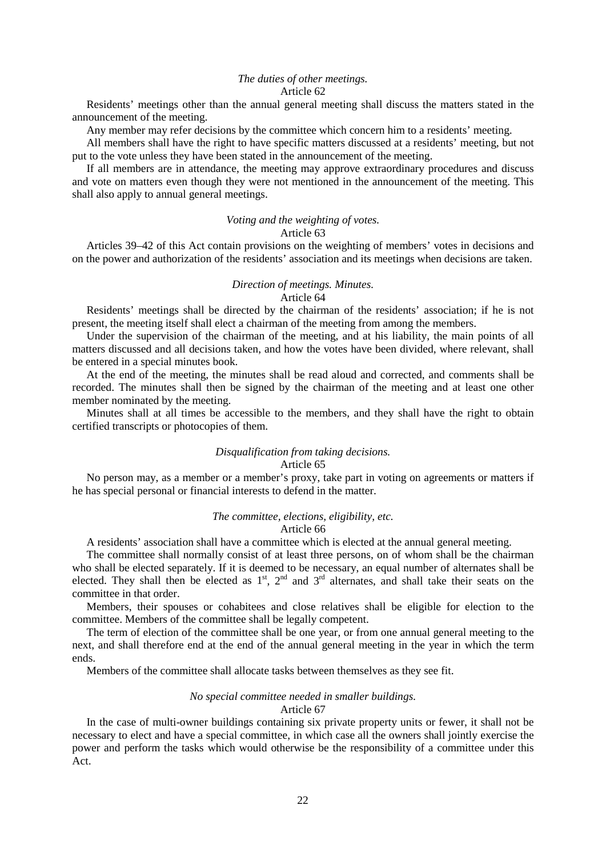## *The duties of other meetings.*

## Article 62

Residents' meetings other than the annual general meeting shall discuss the matters stated in the announcement of the meeting.

Any member may refer decisions by the committee which concern him to a residents' meeting.

All members shall have the right to have specific matters discussed at a residents' meeting, but not put to the vote unless they have been stated in the announcement of the meeting.

If all members are in attendance, the meeting may approve extraordinary procedures and discuss and vote on matters even though they were not mentioned in the announcement of the meeting. This shall also apply to annual general meetings.

*Voting and the weighting of votes.*

#### Article 63

Articles 39–42 of this Act contain provisions on the weighting of members' votes in decisions and on the power and authorization of the residents' association and its meetings when decisions are taken.

## *Direction of meetings. Minutes.*

## Article 64

Residents' meetings shall be directed by the chairman of the residents' association; if he is not present, the meeting itself shall elect a chairman of the meeting from among the members.

Under the supervision of the chairman of the meeting, and at his liability, the main points of all matters discussed and all decisions taken, and how the votes have been divided, where relevant, shall be entered in a special minutes book.

At the end of the meeting, the minutes shall be read aloud and corrected, and comments shall be recorded. The minutes shall then be signed by the chairman of the meeting and at least one other member nominated by the meeting.

Minutes shall at all times be accessible to the members, and they shall have the right to obtain certified transcripts or photocopies of them.

## *Disqualification from taking decisions.*

#### Article 65

No person may, as a member or a member's proxy, take part in voting on agreements or matters if he has special personal or financial interests to defend in the matter.

#### *The committee, elections, eligibility, etc.*

#### Article 66

A residents' association shall have a committee which is elected at the annual general meeting.

The committee shall normally consist of at least three persons, on of whom shall be the chairman who shall be elected separately. If it is deemed to be necessary, an equal number of alternates shall be elected. They shall then be elected as  $1^{st}$ ,  $2^{nd}$  and  $3^{rd}$  alternates, and shall take their seats on the committee in that order.

Members, their spouses or cohabitees and close relatives shall be eligible for election to the committee. Members of the committee shall be legally competent.

The term of election of the committee shall be one year, or from one annual general meeting to the next, and shall therefore end at the end of the annual general meeting in the year in which the term ends.

Members of the committee shall allocate tasks between themselves as they see fit.

## *No special committee needed in smaller buildings.*

#### Article 67

In the case of multi-owner buildings containing six private property units or fewer, it shall not be necessary to elect and have a special committee, in which case all the owners shall jointly exercise the power and perform the tasks which would otherwise be the responsibility of a committee under this Act.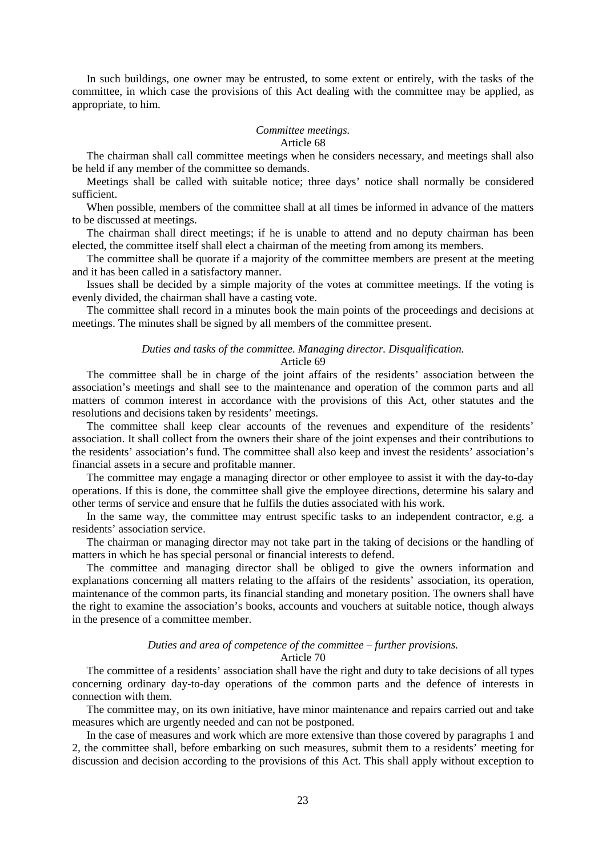In such buildings, one owner may be entrusted, to some extent or entirely, with the tasks of the committee, in which case the provisions of this Act dealing with the committee may be applied, as appropriate, to him.

## *Committee meetings.*

#### Article 68

The chairman shall call committee meetings when he considers necessary, and meetings shall also be held if any member of the committee so demands.

Meetings shall be called with suitable notice; three days' notice shall normally be considered sufficient.

When possible, members of the committee shall at all times be informed in advance of the matters to be discussed at meetings.

The chairman shall direct meetings; if he is unable to attend and no deputy chairman has been elected, the committee itself shall elect a chairman of the meeting from among its members.

The committee shall be quorate if a majority of the committee members are present at the meeting and it has been called in a satisfactory manner.

Issues shall be decided by a simple majority of the votes at committee meetings. If the voting is evenly divided, the chairman shall have a casting vote.

The committee shall record in a minutes book the main points of the proceedings and decisions at meetings. The minutes shall be signed by all members of the committee present.

#### *Duties and tasks of the committee. Managing director. Disqualification.*

## Article 69

The committee shall be in charge of the joint affairs of the residents' association between the association's meetings and shall see to the maintenance and operation of the common parts and all matters of common interest in accordance with the provisions of this Act, other statutes and the resolutions and decisions taken by residents' meetings.

The committee shall keep clear accounts of the revenues and expenditure of the residents' association. It shall collect from the owners their share of the joint expenses and their contributions to the residents' association's fund. The committee shall also keep and invest the residents' association's financial assets in a secure and profitable manner.

The committee may engage a managing director or other employee to assist it with the day-to-day operations. If this is done, the committee shall give the employee directions, determine his salary and other terms of service and ensure that he fulfils the duties associated with his work.

In the same way, the committee may entrust specific tasks to an independent contractor, e.g. a residents' association service.

The chairman or managing director may not take part in the taking of decisions or the handling of matters in which he has special personal or financial interests to defend.

The committee and managing director shall be obliged to give the owners information and explanations concerning all matters relating to the affairs of the residents' association, its operation, maintenance of the common parts, its financial standing and monetary position. The owners shall have the right to examine the association's books, accounts and vouchers at suitable notice, though always in the presence of a committee member.

#### *Duties and area of competence of the committee – further provisions.* Article 70

The committee of a residents' association shall have the right and duty to take decisions of all types concerning ordinary day-to-day operations of the common parts and the defence of interests in connection with them.

The committee may, on its own initiative, have minor maintenance and repairs carried out and take measures which are urgently needed and can not be postponed.

In the case of measures and work which are more extensive than those covered by paragraphs 1 and 2, the committee shall, before embarking on such measures, submit them to a residents' meeting for discussion and decision according to the provisions of this Act. This shall apply without exception to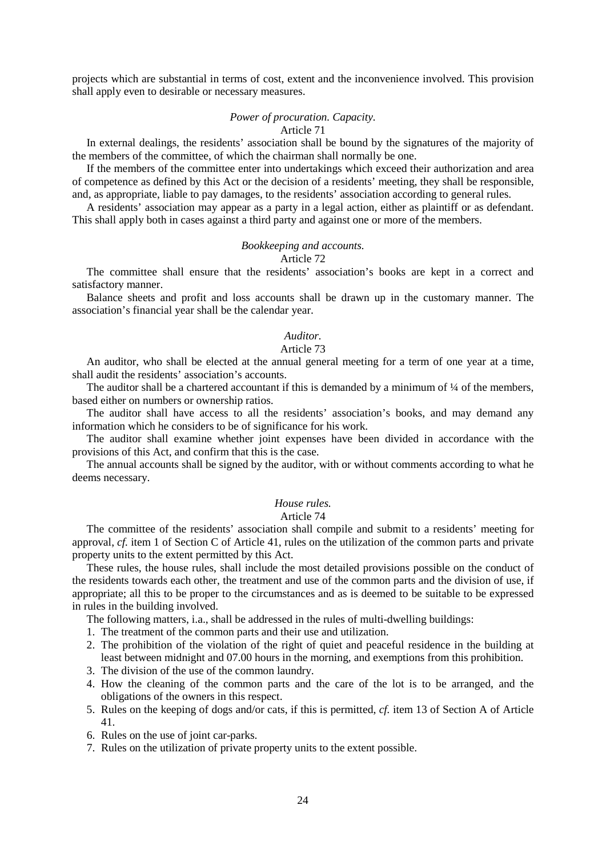projects which are substantial in terms of cost, extent and the inconvenience involved. This provision shall apply even to desirable or necessary measures.

#### *Power of procuration. Capacity.*

## Article 71

In external dealings, the residents' association shall be bound by the signatures of the majority of the members of the committee, of which the chairman shall normally be one.

If the members of the committee enter into undertakings which exceed their authorization and area of competence as defined by this Act or the decision of a residents' meeting, they shall be responsible, and, as appropriate, liable to pay damages, to the residents' association according to general rules.

A residents' association may appear as a party in a legal action, either as plaintiff or as defendant. This shall apply both in cases against a third party and against one or more of the members.

#### *Bookkeeping and accounts.*

## Article 72

The committee shall ensure that the residents' association's books are kept in a correct and satisfactory manner.

Balance sheets and profit and loss accounts shall be drawn up in the customary manner. The association's financial year shall be the calendar year.

#### *Auditor.*

#### Article 73

An auditor, who shall be elected at the annual general meeting for a term of one year at a time, shall audit the residents' association's accounts.

The auditor shall be a chartered accountant if this is demanded by a minimum of  $\frac{1}{4}$  of the members, based either on numbers or ownership ratios.

The auditor shall have access to all the residents' association's books, and may demand any information which he considers to be of significance for his work.

The auditor shall examine whether joint expenses have been divided in accordance with the provisions of this Act, and confirm that this is the case.

The annual accounts shall be signed by the auditor, with or without comments according to what he deems necessary.

## *House rules.*

## Article 74

The committee of the residents' association shall compile and submit to a residents' meeting for approval, *cf.* item 1 of Section C of Article 41, rules on the utilization of the common parts and private property units to the extent permitted by this Act.

These rules, the house rules, shall include the most detailed provisions possible on the conduct of the residents towards each other, the treatment and use of the common parts and the division of use, if appropriate; all this to be proper to the circumstances and as is deemed to be suitable to be expressed in rules in the building involved.

The following matters, i.a., shall be addressed in the rules of multi-dwelling buildings:

- 1. The treatment of the common parts and their use and utilization.
- 2. The prohibition of the violation of the right of quiet and peaceful residence in the building at least between midnight and 07.00 hours in the morning, and exemptions from this prohibition.
- 3. The division of the use of the common laundry.
- 4. How the cleaning of the common parts and the care of the lot is to be arranged, and the obligations of the owners in this respect.
- 5. Rules on the keeping of dogs and/or cats, if this is permitted, *cf.* item 13 of Section A of Article 41.
- 6. Rules on the use of joint car-parks.
- 7. Rules on the utilization of private property units to the extent possible.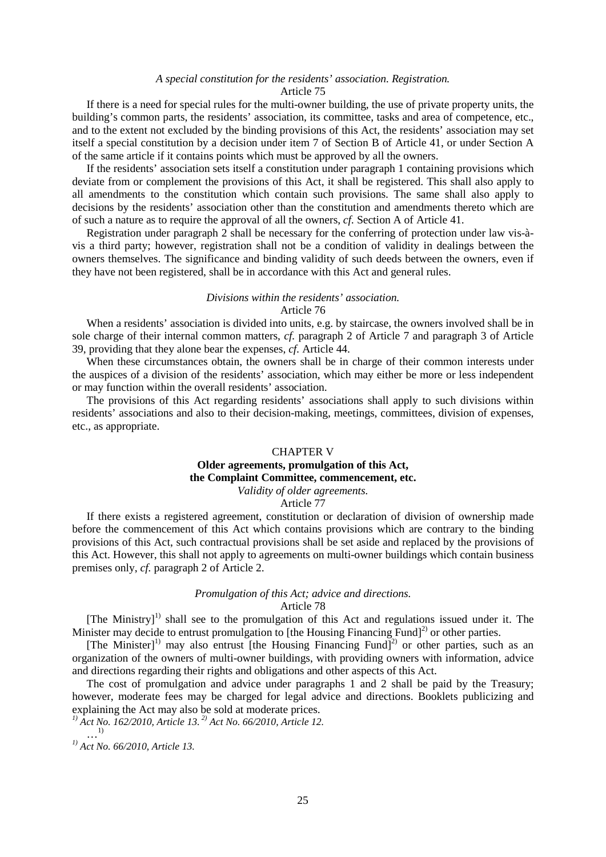#### *A special constitution for the residents' association. Registration.* Article 75

If there is a need for special rules for the multi-owner building, the use of private property units, the building's common parts, the residents' association, its committee, tasks and area of competence, etc., and to the extent not excluded by the binding provisions of this Act, the residents' association may set itself a special constitution by a decision under item 7 of Section B of Article 41, or under Section A of the same article if it contains points which must be approved by all the owners.

If the residents' association sets itself a constitution under paragraph 1 containing provisions which deviate from or complement the provisions of this Act, it shall be registered. This shall also apply to all amendments to the constitution which contain such provisions. The same shall also apply to decisions by the residents' association other than the constitution and amendments thereto which are of such a nature as to require the approval of all the owners, *cf.* Section A of Article 41.

Registration under paragraph 2 shall be necessary for the conferring of protection under law vis-àvis a third party; however, registration shall not be a condition of validity in dealings between the owners themselves. The significance and binding validity of such deeds between the owners, even if they have not been registered, shall be in accordance with this Act and general rules.

## *Divisions within the residents' association.* Article 76

When a residents' association is divided into units, e.g. by staircase, the owners involved shall be in sole charge of their internal common matters, *cf.* paragraph 2 of Article 7 and paragraph 3 of Article 39, providing that they alone bear the expenses, *cf.* Article 44.

When these circumstances obtain, the owners shall be in charge of their common interests under the auspices of a division of the residents' association, which may either be more or less independent or may function within the overall residents' association.

The provisions of this Act regarding residents' associations shall apply to such divisions within residents' associations and also to their decision-making, meetings, committees, division of expenses, etc., as appropriate.

## CHAPTER V

## **Older agreements, promulgation of this Act, the Complaint Committee, commencement, etc.**

*Validity of older agreements.*

## Article 77

If there exists a registered agreement, constitution or declaration of division of ownership made before the commencement of this Act which contains provisions which are contrary to the binding provisions of this Act, such contractual provisions shall be set aside and replaced by the provisions of this Act. However, this shall not apply to agreements on multi-owner buildings which contain business premises only, *cf.* paragraph 2 of Article 2.

## *Promulgation of this Act; advice and directions.*

## Article 78

[The Ministry]<sup>1)</sup> shall see to the promulgation of this Act and regulations issued under it. The Minister may decide to entrust promulgation to [the Housing Financing Fund]<sup>2)</sup> or other parties.

 $[The$  Minister<sup>1)</sup> may also entrust [the Housing Financing Fund]<sup>2)</sup> or other parties, such as an organization of the owners of multi-owner buildings, with providing owners with information, advice and directions regarding their rights and obligations and other aspects of this Act.

The cost of promulgation and advice under paragraphs 1 and 2 shall be paid by the Treasury; however, moderate fees may be charged for legal advice and directions. Booklets publicizing and explaining the Act may also be sold at moderate prices.

*1) Act No. 162/2010, Article 13. 2) Act No. 66/2010, Article 12.* …1)

*1) Act No. 66/2010, Article 13.*